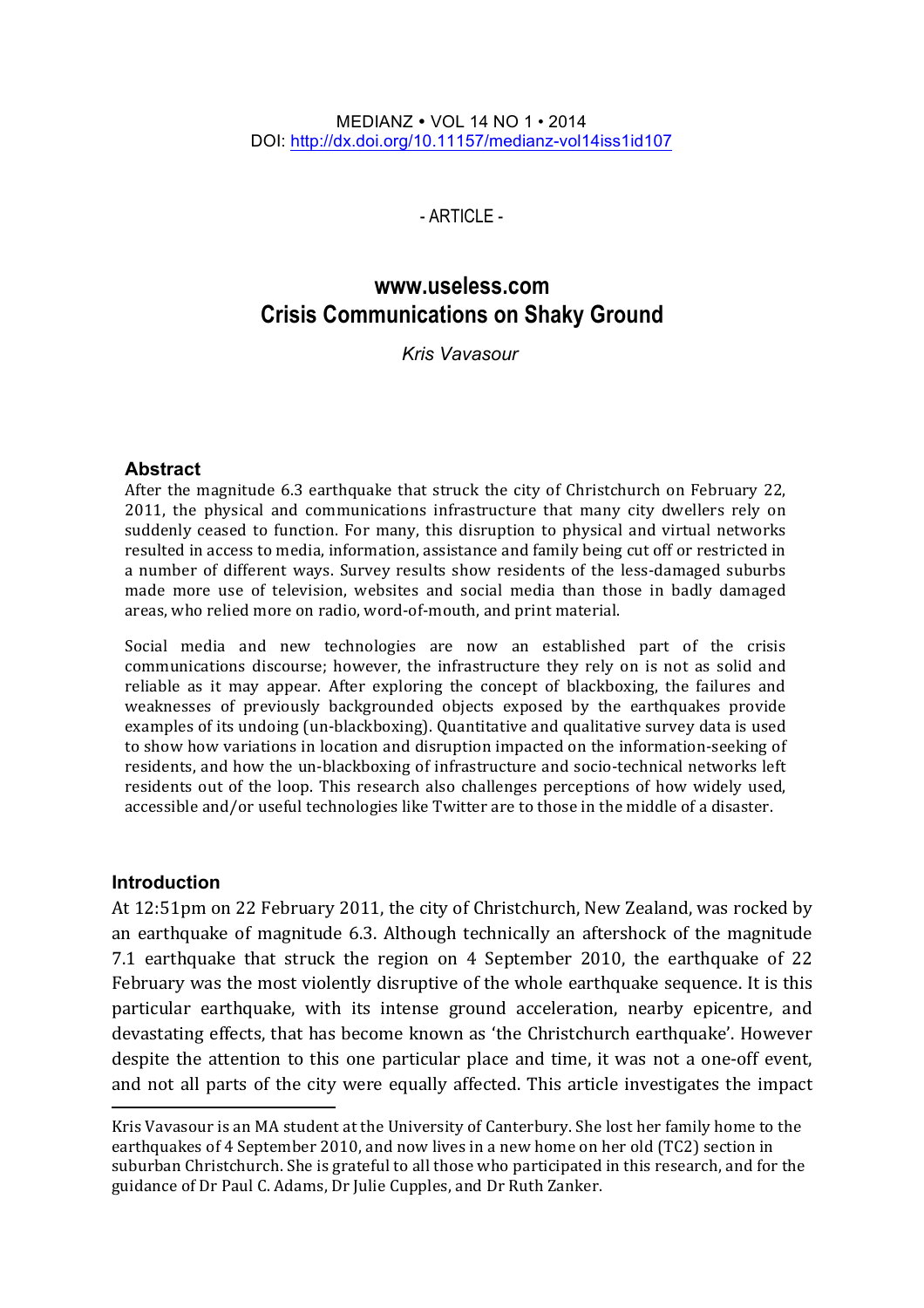#### MEDIANZ VOL 14 NO 1 • 2014 DOI: http://dx.doi.org/10.11157/medianz-vol14iss1id107

 $-$  ARTICLE $-$ 

# **www.useless.com Crisis Communications on Shaky Ground**

*Kris Vavasour\**

#### **Abstract**

After the magnitude  $6.3$  earthquake that struck the city of Christchurch on February 22, 2011, the physical and communications infrastructure that many city dwellers rely on suddenly ceased to function. For many, this disruption to physical and virtual networks resulted in access to media, information, assistance and family being cut off or restricted in a number of different ways. Survey results show residents of the less-damaged suburbs made more use of television, websites and social media than those in badly damaged areas, who relied more on radio, word-of-mouth, and print material.

Social media and new technologies are now an established part of the crisis communications discourse; however, the infrastructure they rely on is not as solid and reliable as it may appear. After exploring the concept of blackboxing, the failures and weaknesses of previously backgrounded objects exposed by the earthquakes provide examples of its undoing (un-blackboxing). Quantitative and qualitative survey data is used to show how variations in location and disruption impacted on the information-seeking of residents, and how the un-blackboxing of infrastructure and socio-technical networks left residents out of the loop. This research also challenges perceptions of how widely used, accessible and/or useful technologies like Twitter are to those in the middle of a disaster.

#### **Introduction**

<u> 1989 - Johann Stein, fransk politiker (d. 1989)</u>

At 12:51pm on 22 February 2011, the city of Christchurch, New Zealand, was rocked by an earthquake of magnitude 6.3. Although technically an aftershock of the magnitude 7.1 earthquake that struck the region on 4 September 2010, the earthquake of 22 February was the most violently disruptive of the whole earthquake sequence. It is this particular earthquake, with its intense ground acceleration, nearby epicentre, and devastating effects, that has become known as 'the Christchurch earthquake'. However despite the attention to this one particular place and time, it was not a one-off event, and not all parts of the city were equally affected. This article investigates the impact

Kris Vavasour is an MA student at the University of Canterbury. She lost her family home to the earthquakes of 4 September 2010, and now lives in a new home on her old (TC2) section in suburban Christchurch. She is grateful to all those who participated in this research, and for the guidance of Dr Paul C. Adams, Dr Julie Cupples, and Dr Ruth Zanker.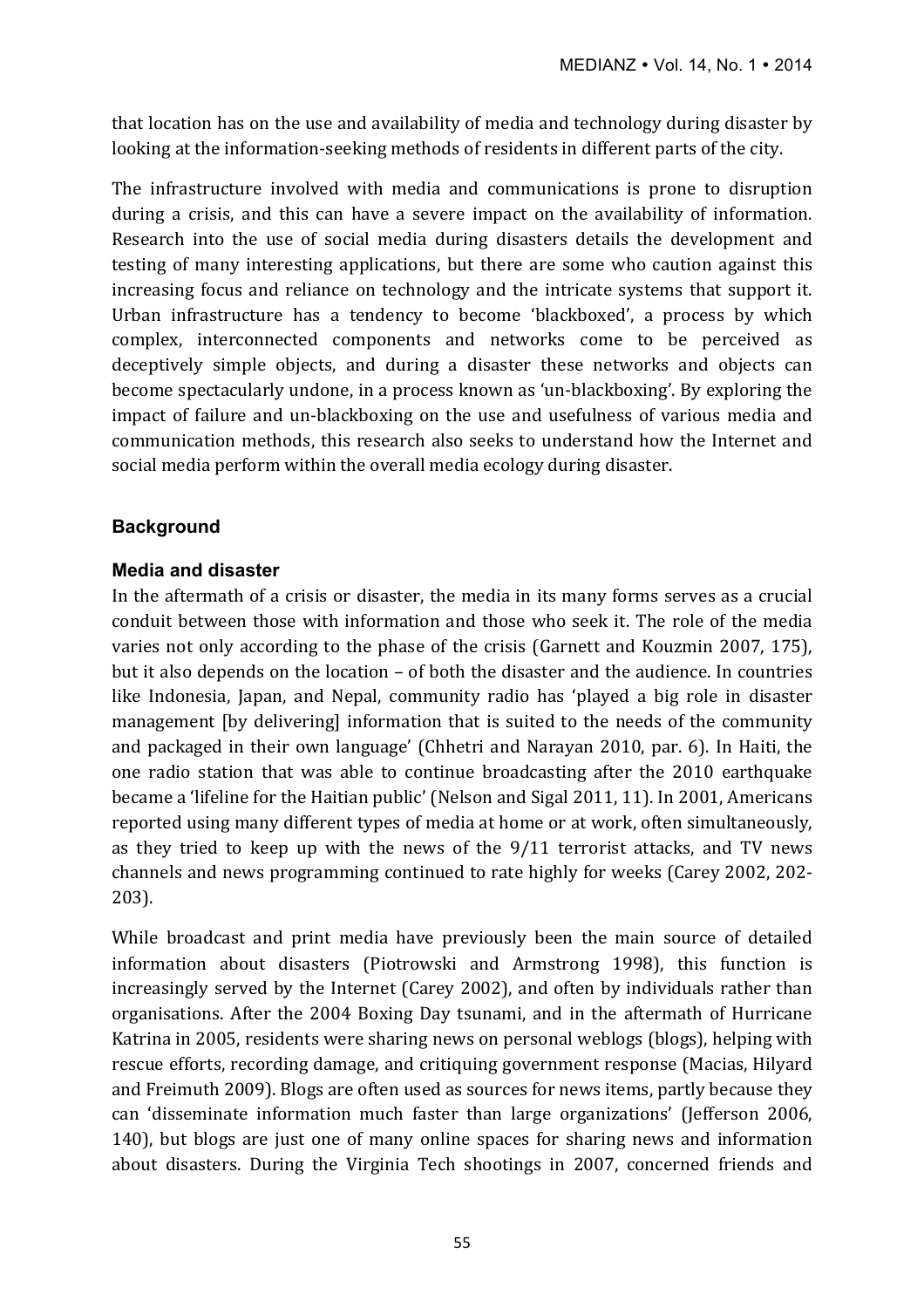that location has on the use and availability of media and technology during disaster by looking at the information-seeking methods of residents in different parts of the city.

The infrastructure involved with media and communications is prone to disruption during a crisis, and this can have a severe impact on the availability of information. Research into the use of social media during disasters details the development and testing of many interesting applications, but there are some who caution against this increasing focus and reliance on technology and the intricate systems that support it. Urban infrastructure has a tendency to become 'blackboxed', a process by which complex, interconnected components and networks come to be perceived as deceptively simple objects, and during a disaster these networks and objects can become spectacularly undone, in a process known as 'un-blackboxing'. By exploring the impact of failure and un-blackboxing on the use and usefulness of various media and communication methods, this research also seeks to understand how the Internet and social media perform within the overall media ecology during disaster.

# **Background**

#### **Media and disaster**

In the aftermath of a crisis or disaster, the media in its many forms serves as a crucial conduit between those with information and those who seek it. The role of the media varies not only according to the phase of the crisis (Garnett and Kouzmin 2007, 175), but it also depends on the location – of both the disaster and the audience. In countries like Indonesia, Japan, and Nepal, community radio has 'played a big role in disaster management [by delivering] information that is suited to the needs of the community and packaged in their own language' (Chhetri and Narayan 2010, par. 6). In Haiti, the one radio station that was able to continue broadcasting after the 2010 earthquake became a 'lifeline for the Haitian public' (Nelson and Sigal 2011, 11). In 2001, Americans reported using many different types of media at home or at work, often simultaneously, as they tried to keep up with the news of the  $9/11$  terrorist attacks, and TV news channels and news programming continued to rate highly for weeks (Carey 2002, 202-203). 

While broadcast and print media have previously been the main source of detailed information about disasters (Piotrowski and Armstrong 1998), this function is increasingly served by the Internet (Carey 2002), and often by individuals rather than organisations. After the 2004 Boxing Day tsunami, and in the aftermath of Hurricane Katrina in 2005, residents were sharing news on personal weblogs (blogs), helping with rescue efforts, recording damage, and critiquing government response (Macias, Hilyard and Freimuth 2009). Blogs are often used as sources for news items, partly because they can 'disseminate information much faster than large organizations' (Jefferson 2006, 140), but blogs are just one of many online spaces for sharing news and information about disasters. During the Virginia Tech shootings in 2007, concerned friends and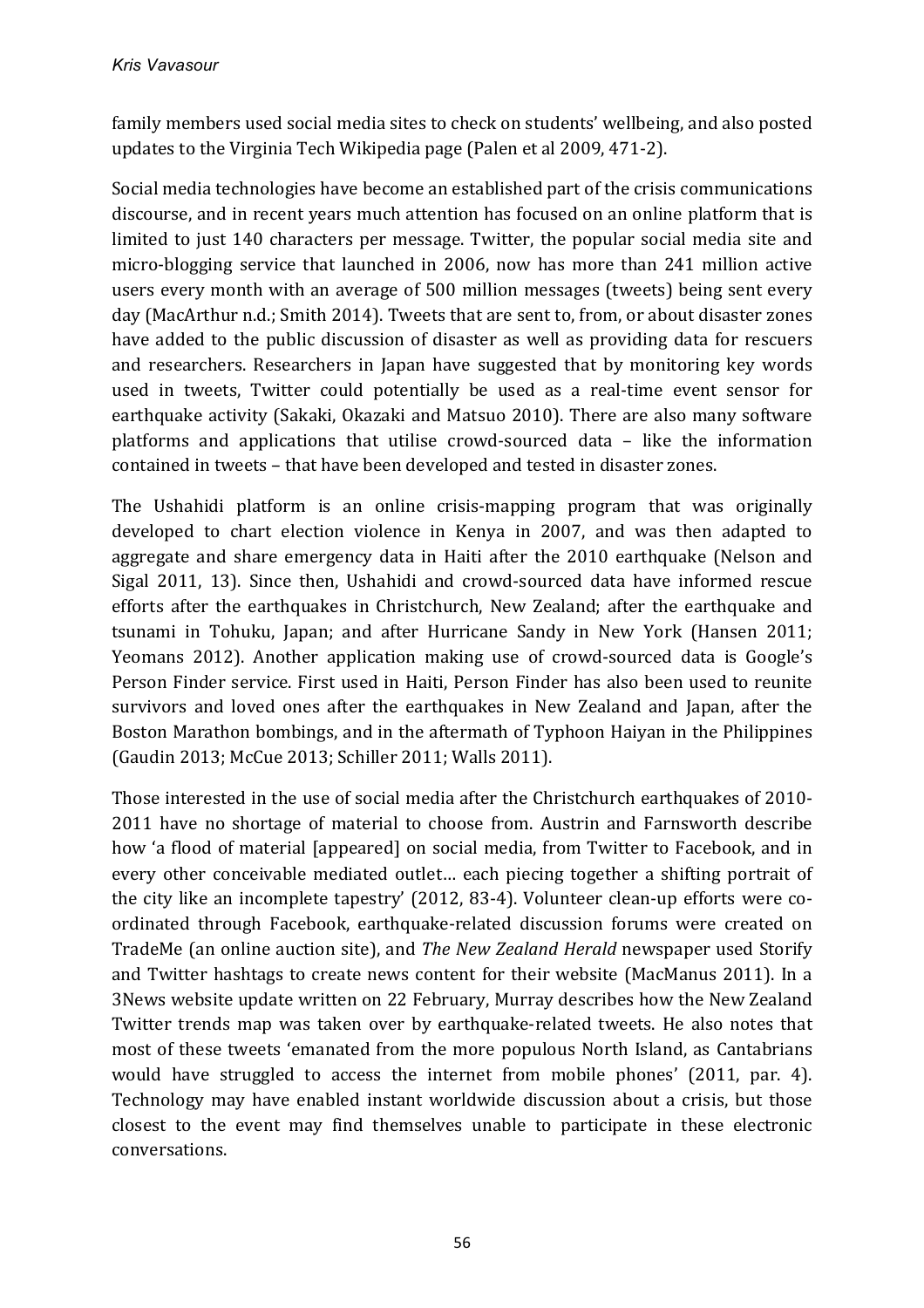family members used social media sites to check on students' wellbeing, and also posted updates to the Virginia Tech Wikipedia page (Palen et al 2009, 471-2).

Social media technologies have become an established part of the crisis communications discourse, and in recent years much attention has focused on an online platform that is limited to just 140 characters per message. Twitter, the popular social media site and micro-blogging service that launched in 2006, now has more than 241 million active users every month with an average of 500 million messages (tweets) being sent every day (MacArthur n.d.; Smith 2014). Tweets that are sent to, from, or about disaster zones have added to the public discussion of disaster as well as providing data for rescuers and researchers. Researchers in Japan have suggested that by monitoring key words used in tweets, Twitter could potentially be used as a real-time event sensor for earthquake activity (Sakaki, Okazaki and Matsuo 2010). There are also many software platforms and applications that utilise crowd-sourced data - like the information contained in tweets - that have been developed and tested in disaster zones.

The Ushahidi platform is an online crisis-mapping program that was originally developed to chart election violence in Kenya in 2007, and was then adapted to aggregate and share emergency data in Haiti after the 2010 earthquake (Nelson and Sigal 2011, 13). Since then, Ushahidi and crowd-sourced data have informed rescue efforts after the earthquakes in Christchurch, New Zealand; after the earthquake and tsunami in Tohuku, Japan; and after Hurricane Sandy in New York (Hansen 2011; Yeomans 2012). Another application making use of crowd-sourced data is Google's Person Finder service. First used in Haiti, Person Finder has also been used to reunite survivors and loved ones after the earthquakes in New Zealand and Japan, after the Boston Marathon bombings, and in the aftermath of Typhoon Haiyan in the Philippines (Gaudin 2013; McCue 2013; Schiller 2011; Walls 2011).

Those interested in the use of social media after the Christchurch earthquakes of 2010-2011 have no shortage of material to choose from. Austrin and Farnsworth describe how 'a flood of material [appeared] on social media, from Twitter to Facebook, and in every other conceivable mediated outlet... each piecing together a shifting portrait of the city like an incomplete tapestry' (2012, 83-4). Volunteer clean-up efforts were coordinated through Facebook, earthquake-related discussion forums were created on TradeMe (an online auction site), and *The New Zealand Herald* newspaper used Storify and Twitter hashtags to create news content for their website (MacManus 2011). In a 3News website update written on 22 February, Murray describes how the New Zealand Twitter trends map was taken over by earthquake-related tweets. He also notes that most of these tweets 'emanated from the more populous North Island, as Cantabrians would have struggled to access the internet from mobile phones' (2011, par. 4). Technology may have enabled instant worldwide discussion about a crisis, but those closest to the event may find themselves unable to participate in these electronic conversations.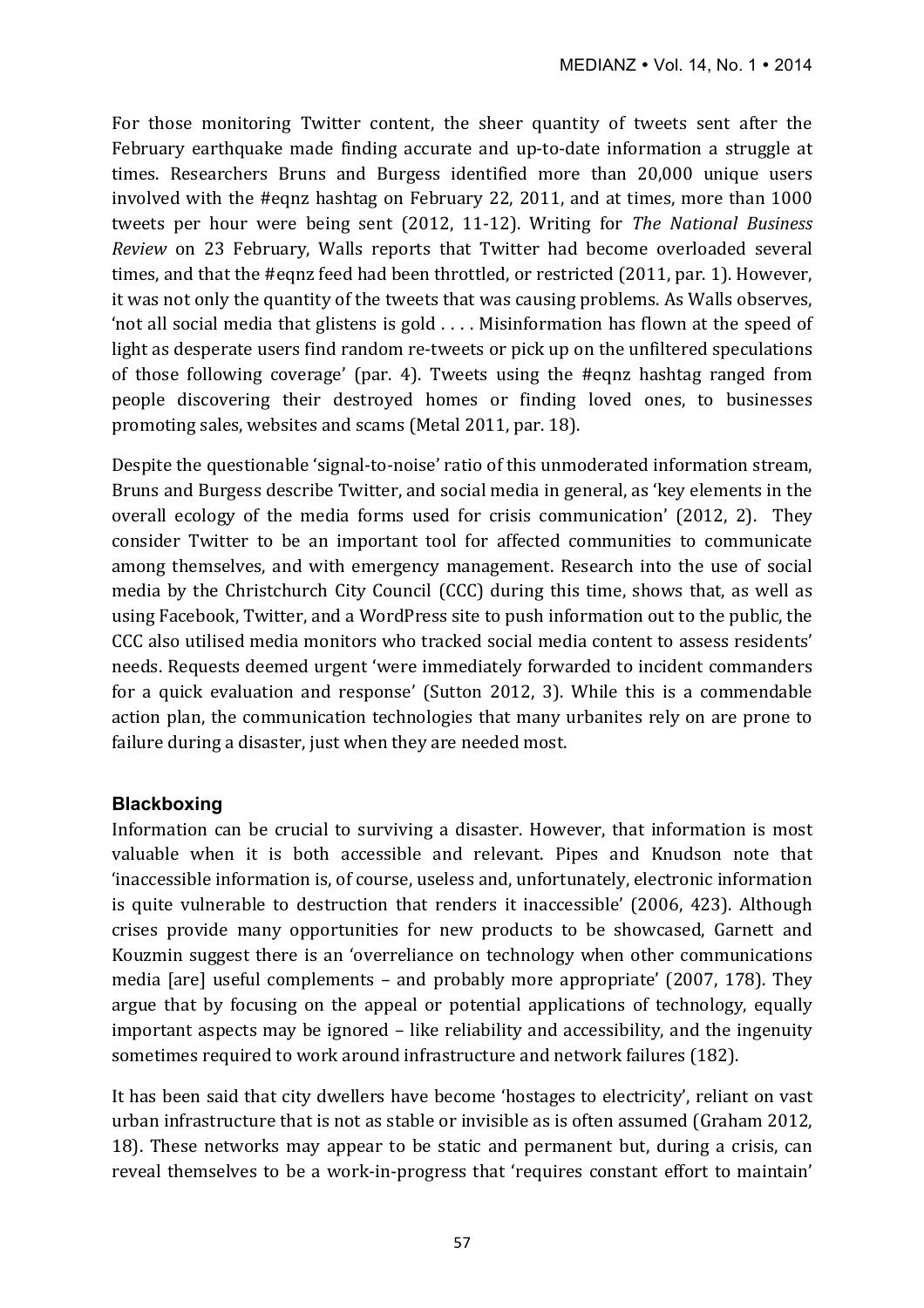For those monitoring Twitter content, the sheer quantity of tweets sent after the February earthquake made finding accurate and up-to-date information a struggle at times. Researchers Bruns and Burgess identified more than 20,000 unique users involved with the #eqnz hashtag on February 22, 2011, and at times, more than 1000 tweets per hour were being sent (2012, 11-12). Writing for *The National Business Review* on 23 February, Walls reports that Twitter had become overloaded several times, and that the #eqnz feed had been throttled, or restricted (2011, par. 1). However, it was not only the quantity of the tweets that was causing problems. As Walls observes, 'not all social media that glistens is gold  $\dots$ . Misinformation has flown at the speed of light as desperate users find random re-tweets or pick up on the unfiltered speculations of those following coverage' (par. 4). Tweets using the #eqnz hashtag ranged from people discovering their destroyed homes or finding loved ones, to businesses promoting sales, websites and scams (Metal 2011, par. 18).

Despite the questionable 'signal-to-noise' ratio of this unmoderated information stream, Bruns and Burgess describe Twitter, and social media in general, as 'key elements in the overall ecology of the media forms used for crisis communication' (2012, 2). They consider Twitter to be an important tool for affected communities to communicate among themselves, and with emergency management. Research into the use of social media by the Christchurch City Council (CCC) during this time, shows that, as well as using Facebook, Twitter, and a WordPress site to push information out to the public, the CCC also utilised media monitors who tracked social media content to assess residents' needs. Requests deemed urgent 'were immediately forwarded to incident commanders for a quick evaluation and response' (Sutton 2012, 3). While this is a commendable action plan, the communication technologies that many urbanites rely on are prone to failure during a disaster, just when they are needed most.

# **Blackboxing**

Information can be crucial to surviving a disaster. However, that information is most valuable when it is both accessible and relevant. Pipes and Knudson note that 'inaccessible information is, of course, useless and, unfortunately, electronic information is quite vulnerable to destruction that renders it inaccessible' (2006, 423). Although crises provide many opportunities for new products to be showcased, Garnett and Kouzmin suggest there is an 'overreliance on technology when other communications media  $\lceil \text{are} \rceil$  useful complements – and probably more appropriate' (2007, 178). They argue that by focusing on the appeal or potential applications of technology, equally important aspects may be ignored – like reliability and accessibility, and the ingenuity sometimes required to work around infrastructure and network failures (182).

It has been said that city dwellers have become 'hostages to electricity', reliant on vast urban infrastructure that is not as stable or invisible as is often assumed (Graham 2012, 18). These networks may appear to be static and permanent but, during a crisis, can reveal themselves to be a work-in-progress that 'requires constant effort to maintain'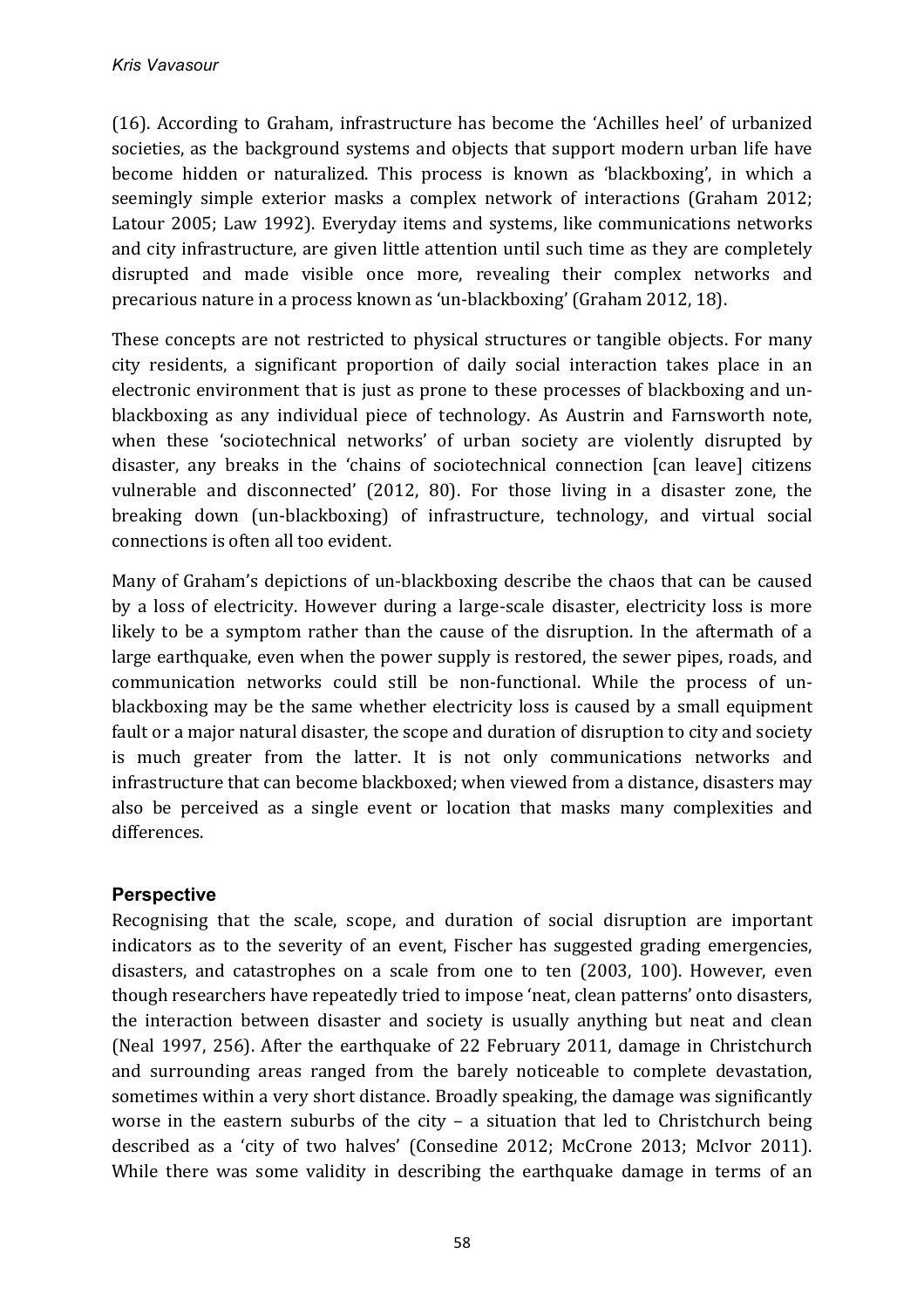(16). According to Graham, infrastructure has become the 'Achilles heel' of urbanized societies, as the background systems and objects that support modern urban life have become hidden or naturalized. This process is known as 'blackboxing', in which a seemingly simple exterior masks a complex network of interactions (Graham 2012; Latour 2005; Law 1992). Everyday items and systems, like communications networks and city infrastructure, are given little attention until such time as they are completely disrupted and made visible once more, revealing their complex networks and precarious nature in a process known as 'un-blackboxing' (Graham 2012, 18).

These concepts are not restricted to physical structures or tangible objects. For many city residents, a significant proportion of daily social interaction takes place in an electronic environment that is just as prone to these processes of blackboxing and unblackboxing as any individual piece of technology. As Austrin and Farnsworth note, when these 'sociotechnical networks' of urban society are violently disrupted by disaster, any breaks in the 'chains of sociotechnical connection [can leave] citizens vulnerable and disconnected' (2012, 80). For those living in a disaster zone, the breaking down (un-blackboxing) of infrastructure, technology, and virtual social connections is often all too evident.

Many of Graham's depictions of un-blackboxing describe the chaos that can be caused by a loss of electricity. However during a large-scale disaster, electricity loss is more likely to be a symptom rather than the cause of the disruption. In the aftermath of a large earthquake, even when the power supply is restored, the sewer pipes, roads, and communication networks could still be non-functional. While the process of unblackboxing may be the same whether electricity loss is caused by a small equipment fault or a major natural disaster, the scope and duration of disruption to city and society is much greater from the latter. It is not only communications networks and infrastructure that can become blackboxed; when viewed from a distance, disasters may also be perceived as a single event or location that masks many complexities and differences.

# **Perspective**

Recognising that the scale, scope, and duration of social disruption are important indicators as to the severity of an event. Fischer has suggested grading emergencies, disasters, and catastrophes on a scale from one to ten (2003, 100). However, even though researchers have repeatedly tried to impose 'neat, clean patterns' onto disasters, the interaction between disaster and society is usually anything but neat and clean (Neal 1997, 256). After the earthquake of 22 February 2011, damage in Christchurch and surrounding areas ranged from the barely noticeable to complete devastation, sometimes within a very short distance. Broadly speaking, the damage was significantly worse in the eastern suburbs of the city  $-$  a situation that led to Christchurch being described as a 'city of two halves' (Consedine 2012; McCrone 2013; McIvor 2011). While there was some validity in describing the earthquake damage in terms of an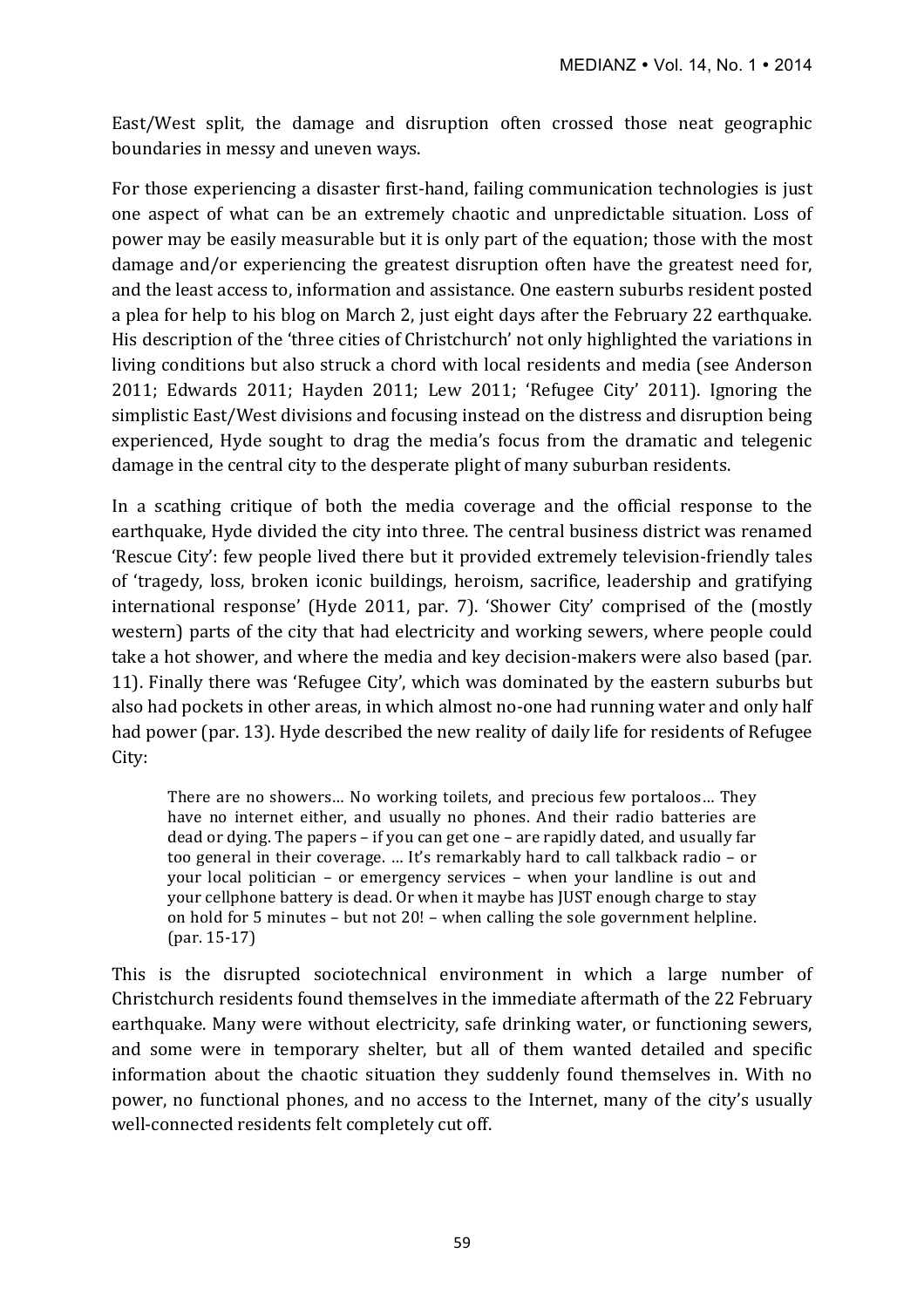East/West split, the damage and disruption often crossed those neat geographic boundaries in messy and uneven ways.

For those experiencing a disaster first-hand, failing communication technologies is just one aspect of what can be an extremely chaotic and unpredictable situation. Loss of power may be easily measurable but it is only part of the equation; those with the most damage and/or experiencing the greatest disruption often have the greatest need for, and the least access to, information and assistance. One eastern suburbs resident posted a plea for help to his blog on March 2, just eight days after the February 22 earthquake. His description of the 'three cities of Christchurch' not only highlighted the variations in living conditions but also struck a chord with local residents and media (see Anderson 2011; Edwards 2011; Hayden 2011; Lew 2011; 'Refugee City' 2011). Ignoring the simplistic East/West divisions and focusing instead on the distress and disruption being experienced, Hyde sought to drag the media's focus from the dramatic and telegenic damage in the central city to the desperate plight of many suburban residents.

In a scathing critique of both the media coverage and the official response to the earthquake, Hyde divided the city into three. The central business district was renamed 'Rescue City': few people lived there but it provided extremely television-friendly tales of 'tragedy, loss, broken iconic buildings, heroism, sacrifice, leadership and gratifying international response' (Hyde 2011, par. 7). 'Shower City' comprised of the (mostly western) parts of the city that had electricity and working sewers, where people could take a hot shower, and where the media and key decision-makers were also based (par. 11). Finally there was 'Refugee City', which was dominated by the eastern suburbs but also had pockets in other areas, in which almost no-one had running water and only half had power (par. 13). Hyde described the new reality of daily life for residents of Refugee City: 

There are no showers... No working toilets, and precious few portaloos... They have no internet either, and usually no phones. And their radio batteries are dead or dying. The papers  $-$  if you can get one  $-$  are rapidly dated, and usually far too general in their coverage. ... It's remarkably hard to call talkback radio - or your local politician  $-$  or emergency services  $-$  when your landline is out and your cellphone battery is dead. Or when it maybe has JUST enough charge to stay on hold for 5 minutes  $-$  but not 20!  $-$  when calling the sole government helpline. (par. 15-17)

This is the disrupted sociotechnical environment in which a large number of Christchurch residents found themselves in the immediate aftermath of the 22 February earthquake. Many were without electricity, safe drinking water, or functioning sewers, and some were in temporary shelter, but all of them wanted detailed and specific information about the chaotic situation they suddenly found themselves in. With no power, no functional phones, and no access to the Internet, many of the city's usually well-connected residents felt completely cut off.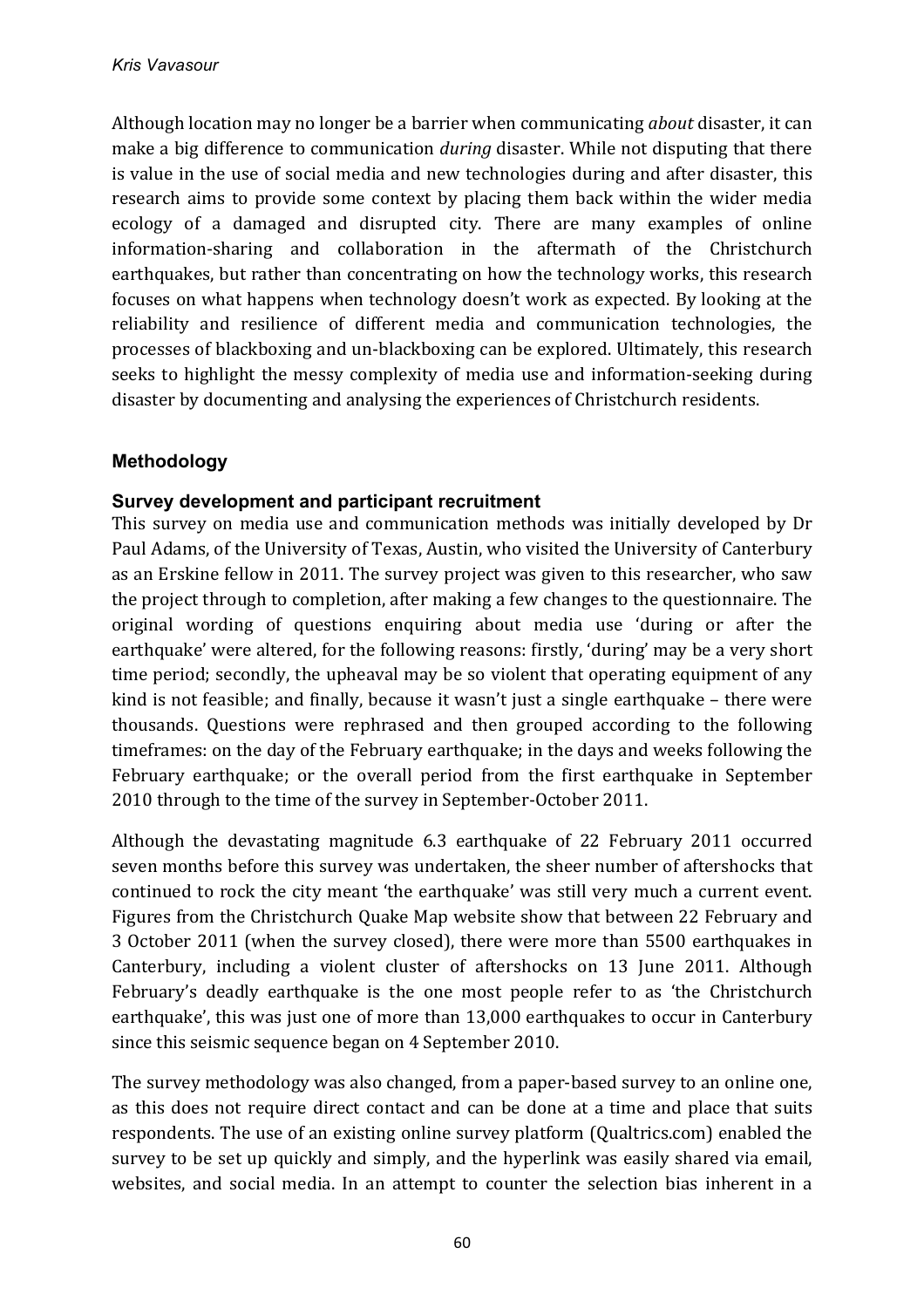Although location may no longer be a barrier when communicating *about* disaster, it can make a big difference to communication *during* disaster. While not disputing that there is value in the use of social media and new technologies during and after disaster, this research aims to provide some context by placing them back within the wider media ecology of a damaged and disrupted city. There are many examples of online information-sharing and collaboration in the aftermath of the Christchurch earthquakes, but rather than concentrating on how the technology works, this research focuses on what happens when technology doesn't work as expected. By looking at the reliability and resilience of different media and communication technologies, the processes of blackboxing and un-blackboxing can be explored. Ultimately, this research seeks to highlight the messy complexity of media use and information-seeking during disaster by documenting and analysing the experiences of Christchurch residents.

# **Methodology**

# **Survey development and participant recruitment**

This survey on media use and communication methods was initially developed by Dr Paul Adams, of the University of Texas, Austin, who visited the University of Canterbury as an Erskine fellow in 2011. The survey project was given to this researcher, who saw the project through to completion, after making a few changes to the questionnaire. The original wording of questions enquiring about media use 'during or after the earthquake' were altered, for the following reasons: firstly, 'during' may be a very short time period; secondly, the upheaval may be so violent that operating equipment of any kind is not feasible; and finally, because it wasn't just a single earthquake  $-$  there were thousands. Questions were rephrased and then grouped according to the following timeframes: on the day of the February earthquake; in the days and weeks following the February earthquake; or the overall period from the first earthquake in September 2010 through to the time of the survey in September-October 2011.

Although the devastating magnitude 6.3 earthquake of 22 February 2011 occurred seven months before this survey was undertaken, the sheer number of aftershocks that continued to rock the city meant 'the earthquake' was still very much a current event. Figures from the Christchurch Quake Map website show that between 22 February and 3 October 2011 (when the survey closed), there were more than 5500 earthquakes in Canterbury, including a violent cluster of aftershocks on 13 June 2011. Although February's deadly earthquake is the one most people refer to as 'the Christchurch earthquake', this was just one of more than 13,000 earthquakes to occur in Canterbury since this seismic sequence began on 4 September 2010.

The survey methodology was also changed, from a paper-based survey to an online one, as this does not require direct contact and can be done at a time and place that suits respondents. The use of an existing online survey platform (Qualtrics.com) enabled the survey to be set up quickly and simply, and the hyperlink was easily shared via email, websites, and social media. In an attempt to counter the selection bias inherent in a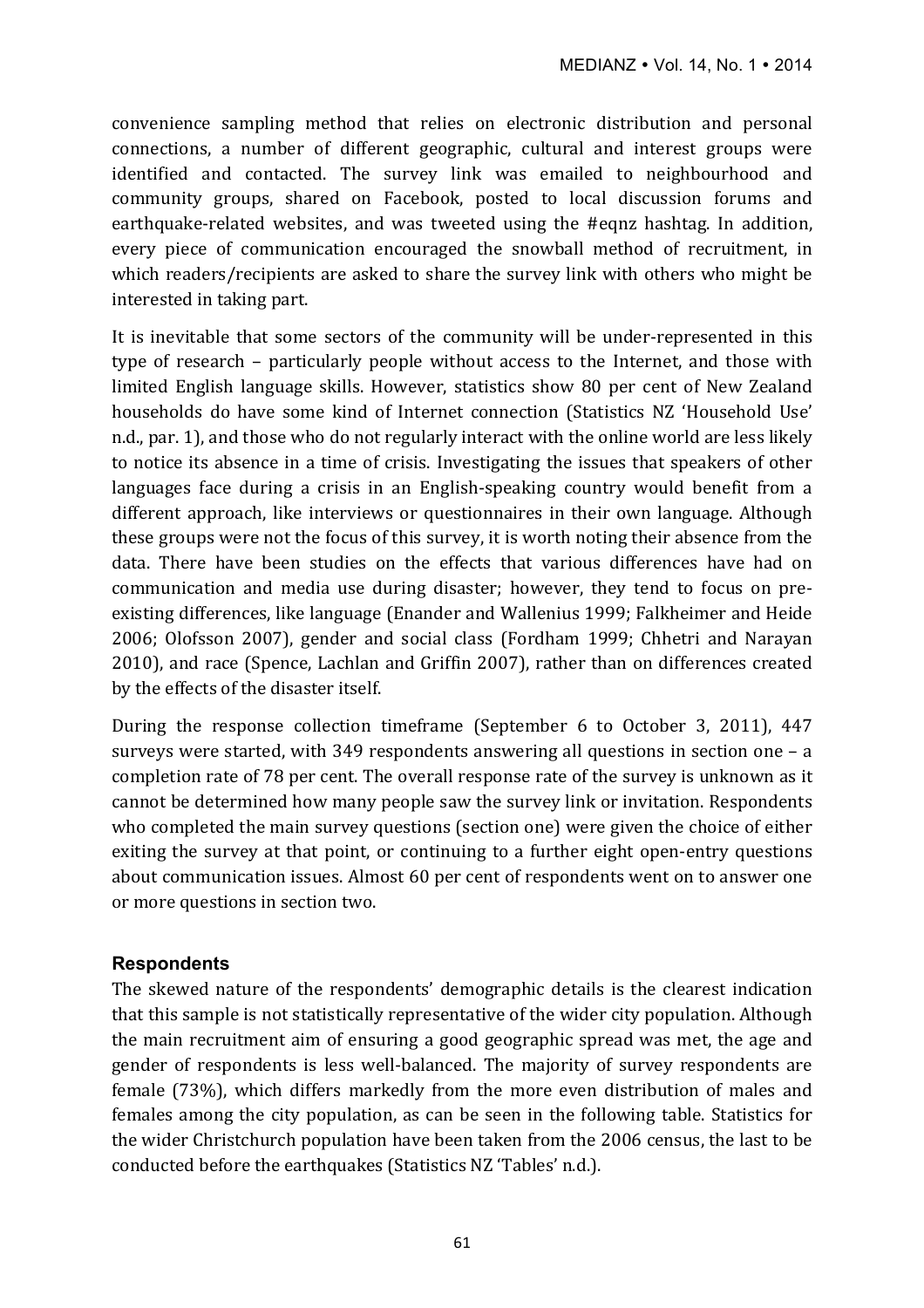convenience sampling method that relies on electronic distribution and personal connections, a number of different geographic, cultural and interest groups were identified and contacted. The survey link was emailed to neighbourhood and community groups, shared on Facebook, posted to local discussion forums and earthquake-related websites, and was tweeted using the #eqnz hashtag. In addition, every piece of communication encouraged the snowball method of recruitment, in which readers/recipients are asked to share the survey link with others who might be interested in taking part.

It is inevitable that some sectors of the community will be under-represented in this type of research – particularly people without access to the Internet, and those with limited English language skills. However, statistics show 80 per cent of New Zealand households do have some kind of Internet connection (Statistics NZ 'Household Use' n.d., par. 1), and those who do not regularly interact with the online world are less likely to notice its absence in a time of crisis. Investigating the issues that speakers of other languages face during a crisis in an English-speaking country would benefit from a different approach, like interviews or questionnaires in their own language. Although these groups were not the focus of this survey, it is worth noting their absence from the data. There have been studies on the effects that various differences have had on communication and media use during disaster; however, they tend to focus on preexisting differences, like language (Enander and Wallenius 1999; Falkheimer and Heide 2006; Olofsson 2007), gender and social class (Fordham 1999; Chhetri and Narayan 2010), and race (Spence, Lachlan and Griffin 2007), rather than on differences created by the effects of the disaster itself.

During the response collection timeframe (September 6 to October 3, 2011), 447 surveys were started, with 349 respondents answering all questions in section one  $- a$ completion rate of 78 per cent. The overall response rate of the survey is unknown as it cannot be determined how many people saw the survey link or invitation. Respondents who completed the main survey questions (section one) were given the choice of either exiting the survey at that point, or continuing to a further eight open-entry questions about communication issues. Almost 60 per cent of respondents went on to answer one or more questions in section two.

# **Respondents**

The skewed nature of the respondents' demographic details is the clearest indication that this sample is not statistically representative of the wider city population. Although the main recruitment aim of ensuring a good geographic spread was met, the age and gender of respondents is less well-balanced. The majority of survey respondents are female (73%), which differs markedly from the more even distribution of males and females among the city population, as can be seen in the following table. Statistics for the wider Christchurch population have been taken from the 2006 census, the last to be conducted before the earthquakes (Statistics NZ 'Tables' n.d.).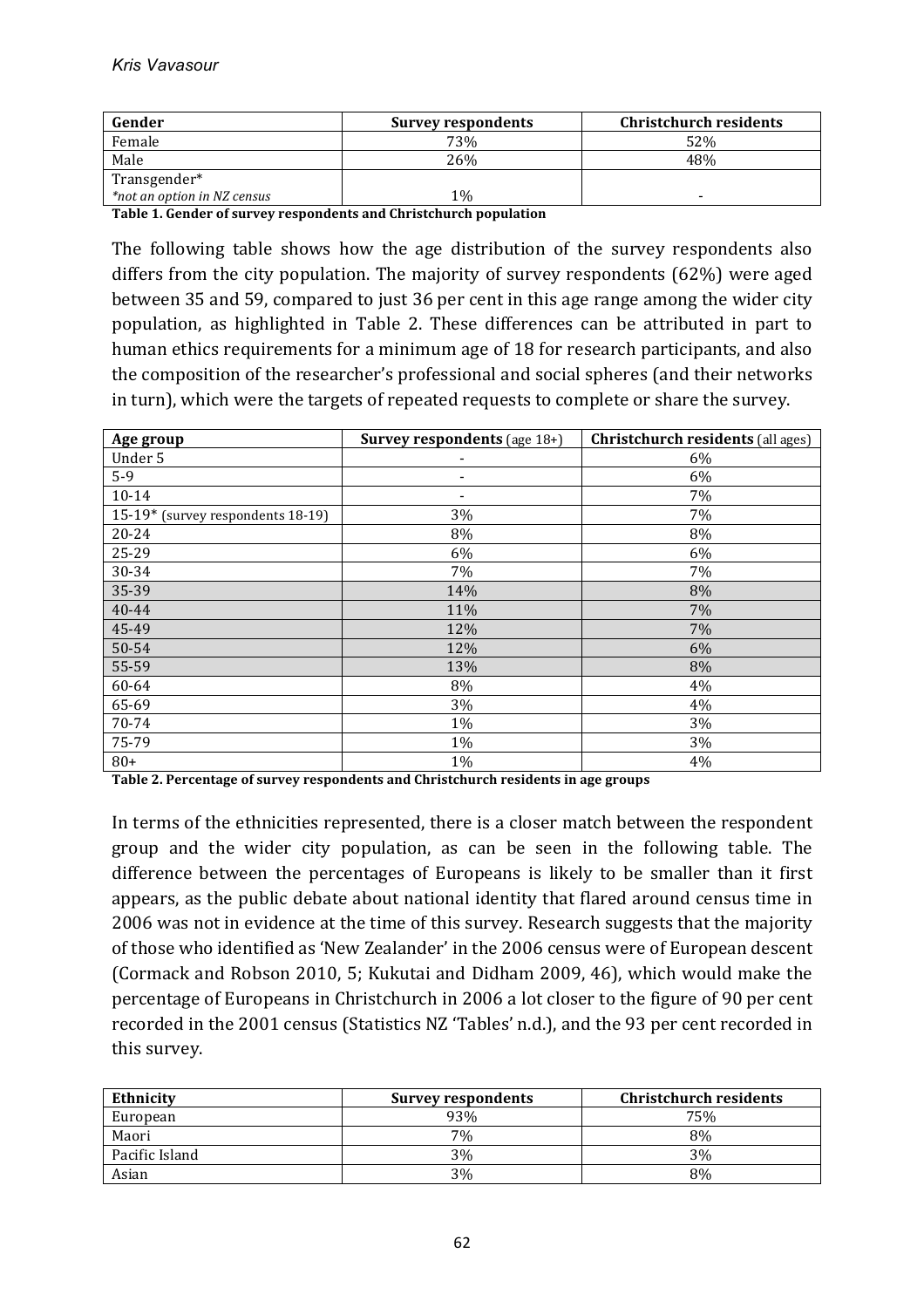| Gender                      | <b>Survey respondents</b> | <b>Christchurch residents</b> |
|-----------------------------|---------------------------|-------------------------------|
| Female                      | 73%                       | 52%                           |
| Male                        | 26%                       | 48%                           |
| Transgender*                |                           |                               |
| *not an option in NZ census | $1\%$                     |                               |

Table 1. Gender of survey respondents and Christchurch population

The following table shows how the age distribution of the survey respondents also differs from the city population. The majority of survey respondents  $(62%)$  were aged between 35 and 59, compared to just 36 per cent in this age range among the wider city population, as highlighted in Table 2. These differences can be attributed in part to human ethics requirements for a minimum age of 18 for research participants, and also the composition of the researcher's professional and social spheres (and their networks in turn), which were the targets of repeated requests to complete or share the survey.

| Age group                         | <b>Survey respondents</b> (age 18+) | <b>Christchurch residents</b> (all ages) |
|-----------------------------------|-------------------------------------|------------------------------------------|
| Under 5                           | $\overline{\phantom{0}}$            | 6%                                       |
| $5-9$                             |                                     | 6%                                       |
| $10 - 14$                         |                                     | 7%                                       |
| 15-19* (survey respondents 18-19) | 3%                                  | 7%                                       |
| 20-24                             | 8%                                  | 8%                                       |
| 25-29                             | 6%                                  | 6%                                       |
| 30-34                             | 7%                                  | 7%                                       |
| 35-39                             | 14%                                 | 8%                                       |
| 40-44                             | 11%                                 | 7%                                       |
| 45-49                             | 12%                                 | 7%                                       |
| 50-54                             | 12%                                 | 6%                                       |
| 55-59                             | 13%                                 | 8%                                       |
| 60-64                             | 8%                                  | 4%                                       |
| 65-69                             | 3%                                  | 4%                                       |
| 70-74                             | 1%                                  | 3%                                       |
| 75-79                             | 1%                                  | 3%                                       |
| $80+$                             | 1%                                  | 4%                                       |

Table 2. Percentage of survey respondents and Christchurch residents in age groups

In terms of the ethnicities represented, there is a closer match between the respondent group and the wider city population, as can be seen in the following table. The difference between the percentages of Europeans is likely to be smaller than it first appears, as the public debate about national identity that flared around census time in 2006 was not in evidence at the time of this survey. Research suggests that the majority of those who identified as 'New Zealander' in the 2006 census were of European descent (Cormack and Robson 2010, 5; Kukutai and Didham 2009, 46), which would make the percentage of Europeans in Christchurch in 2006 a lot closer to the figure of 90 per cent recorded in the 2001 census (Statistics NZ 'Tables' n.d.), and the 93 per cent recorded in this survey.

| <b>Ethnicity</b> | <b>Survey respondents</b> | <b>Christchurch residents</b> |
|------------------|---------------------------|-------------------------------|
| European         | 93%                       | 75%                           |
| Maori            | 7%                        | 8%                            |
| Pacific Island   | 3%                        | 3%                            |
| Asian            | 3%                        | 8%                            |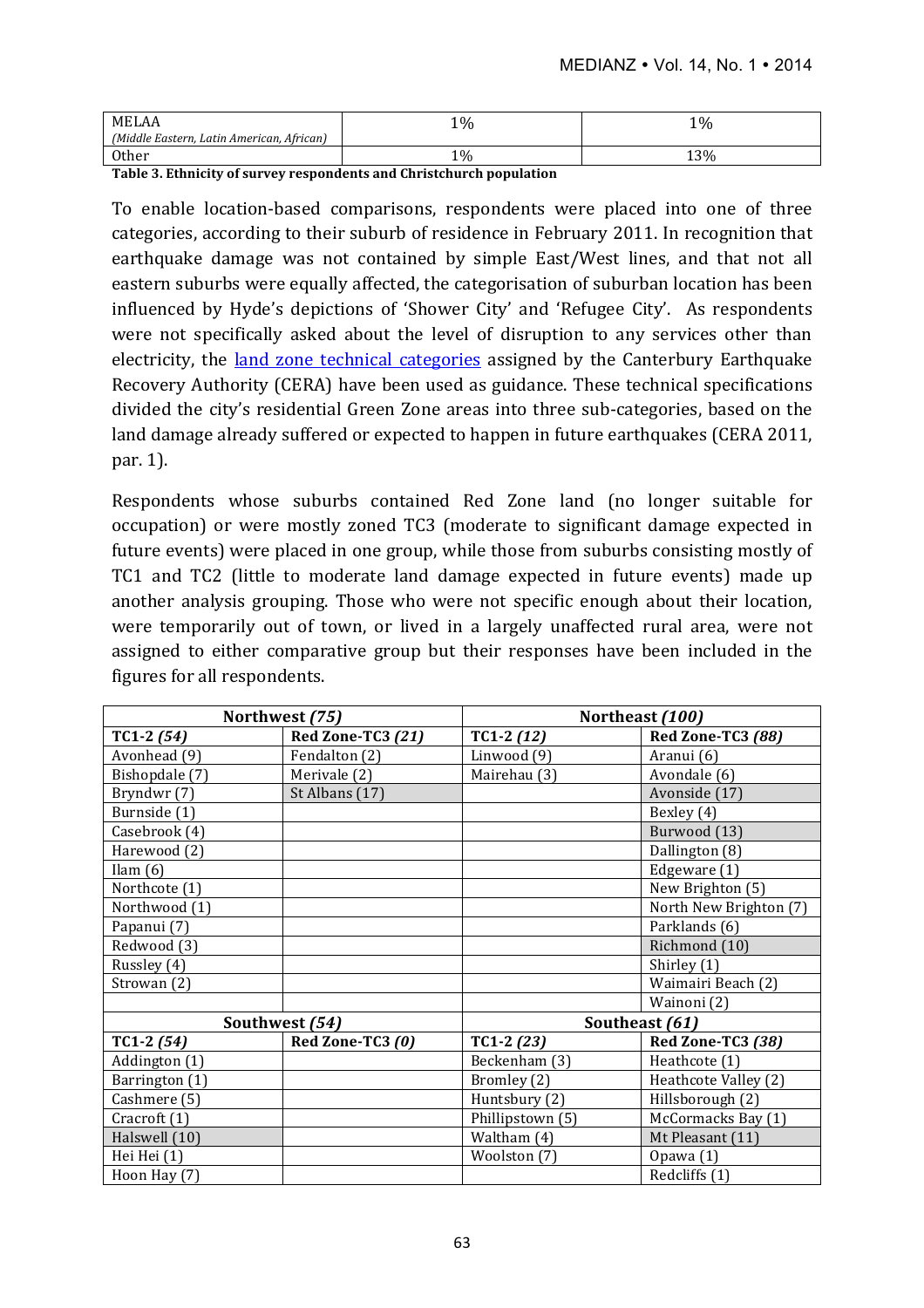| <b>MELAA</b>                              | $1\%$ | 1%  |
|-------------------------------------------|-------|-----|
| (Middle Eastern, Latin American, African) |       |     |
| <b>Other</b>                              | $1\%$ | 13% |

Table 3. Ethnicity of survey respondents and Christchurch population

To enable location-based comparisons, respondents were placed into one of three categories, according to their suburb of residence in February 2011. In recognition that earthquake damage was not contained by simple East/West lines, and that not all eastern suburbs were equally affected, the categorisation of suburban location has been influenced by Hyde's depictions of 'Shower City' and 'Refugee City'. As respondents were not specifically asked about the level of disruption to any services other than electricity, the land zone technical categories assigned by the Canterbury Earthquake Recovery Authority (CERA) have been used as guidance. These technical specifications divided the city's residential Green Zone areas into three sub-categories, based on the land damage already suffered or expected to happen in future earthquakes (CERA 2011, par. 1).

Respondents whose suburbs contained Red Zone land (no longer suitable for occupation) or were mostly zoned TC3 (moderate to significant damage expected in future events) were placed in one group, while those from suburbs consisting mostly of TC1 and TC2 (little to moderate land damage expected in future events) made up another analysis grouping. Those who were not specific enough about their location, were temporarily out of town, or lived in a largely unaffected rural area, were not assigned to either comparative group but their responses have been included in the figures for all respondents.

|                         | Northwest (75)    |                  | Northeast (100)        |
|-------------------------|-------------------|------------------|------------------------|
| $TC1-2(54)$             | Red Zone-TC3 (21) | $TC1-2(12)$      | Red Zone-TC3 (88)      |
| Avonhead (9)            | Fendalton (2)     | Linwood (9)      | Aranui (6)             |
| Bishopdale (7)          | Merivale (2)      | Mairehau (3)     | Avondale (6)           |
| Bryndwr (7)             | St Albans (17)    |                  | Avonside (17)          |
| Burnside (1)            |                   |                  | Bexley (4)             |
| Casebrook (4)           |                   |                  | Burwood (13)           |
| Harewood (2)            |                   |                  | Dallington (8)         |
| Ilam $(6)$              |                   |                  | Edgeware (1)           |
| Northcote (1)           |                   |                  | New Brighton (5)       |
| Northwood (1)           |                   |                  | North New Brighton (7) |
| Papanui (7)             |                   |                  | Parklands (6)          |
| Redwood (3)             |                   |                  | Richmond (10)          |
| Russley (4)             |                   |                  | Shirley (1)            |
| Strowan (2)             |                   |                  | Waimairi Beach (2)     |
|                         |                   |                  | Wainoni (2)            |
|                         | Southwest (54)    | Southeast (61)   |                        |
| TC1-2 $(54)$            | Red Zone-TC3 (0)  | $TC1-2(23)$      | Red Zone-TC3 (38)      |
| Addington (1)           |                   | Beckenham (3)    | Heathcote (1)          |
| Barrington (1)          |                   | Bromley (2)      | Heathcote Valley (2)   |
| Cashmere (5)            |                   | Huntsbury (2)    | Hillsborough (2)       |
| Cracroft <sub>(1)</sub> |                   | Phillipstown (5) | McCormacks Bay (1)     |
| Halswell (10)           |                   | Waltham (4)      | Mt Pleasant (11)       |
| Hei Hei (1)             |                   | Woolston (7)     | Opawa (1)              |
| Hoon Hay (7)            |                   |                  | Redcliffs (1)          |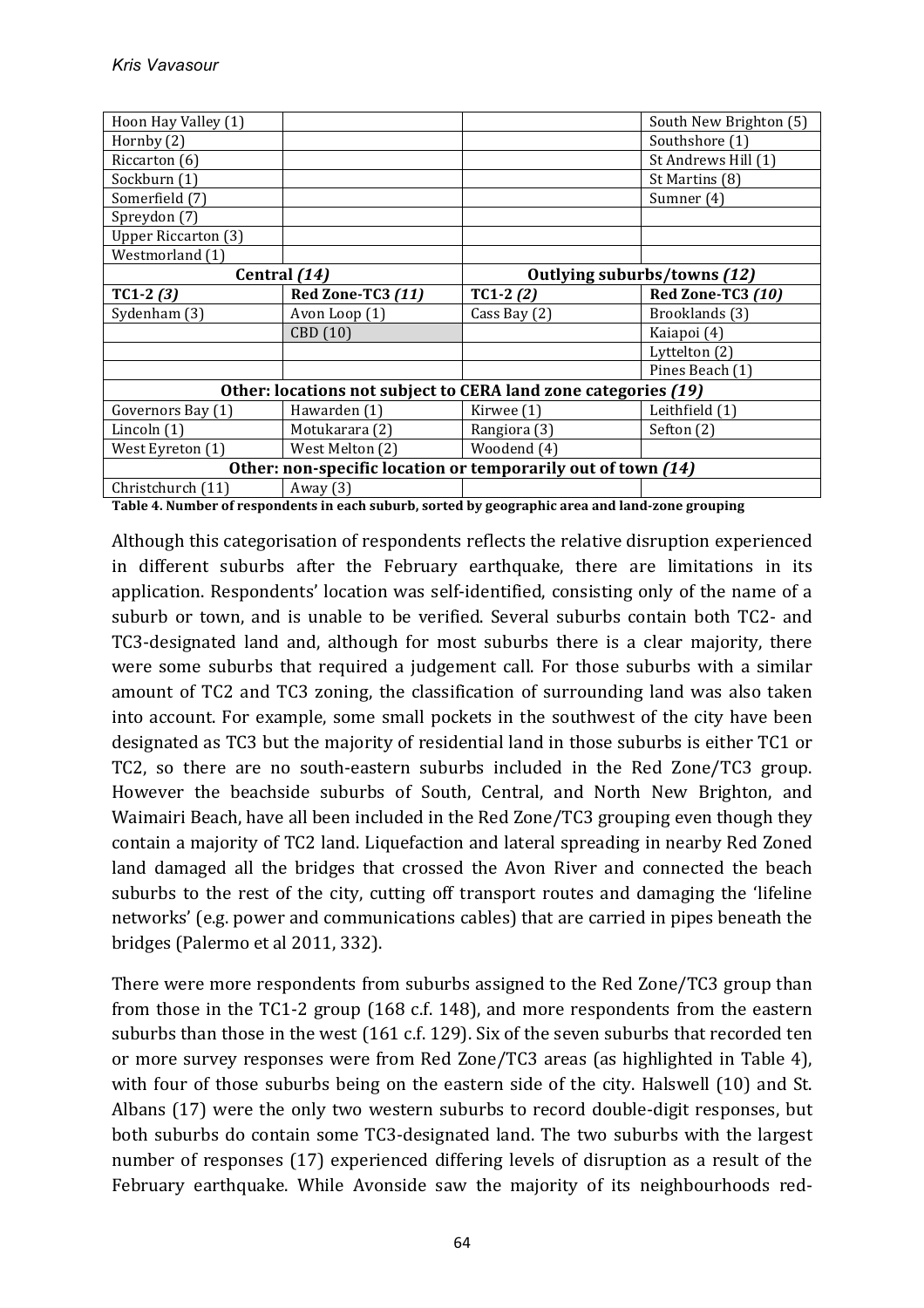| Hoon Hay Valley (1)                                            |                   |                             | South New Brighton (5) |
|----------------------------------------------------------------|-------------------|-----------------------------|------------------------|
| Hornby (2)                                                     |                   |                             | Southshore (1)         |
| Riccarton (6)                                                  |                   |                             | St Andrews Hill (1)    |
| Sockburn (1)                                                   |                   |                             | St Martins (8)         |
| Somerfield (7)                                                 |                   |                             | Sumner (4)             |
| Spreydon (7)                                                   |                   |                             |                        |
| <b>Upper Riccarton (3)</b>                                     |                   |                             |                        |
| Westmorland (1)                                                |                   |                             |                        |
| Central (14)                                                   |                   | Outlying suburbs/towns (12) |                        |
| $TC1-2(3)$                                                     | Red Zone-TC3 (11) | $TC1-2(2)$                  | Red Zone-TC3 (10)      |
| Sydenham (3)                                                   | Avon Loop (1)     | Cass Bay (2)                | Brooklands (3)         |
|                                                                | CBD (10)          |                             | Kaiapoi (4)            |
|                                                                |                   |                             | Lyttelton (2)          |
|                                                                |                   |                             | Pines Beach (1)        |
| Other: locations not subject to CERA land zone categories (19) |                   |                             |                        |
| Governors Bay (1)                                              | Hawarden (1)      | Kirwee (1)                  | Leithfield (1)         |
| Lincoln $(1)$                                                  | Motukarara (2)    | Rangiora (3)                | Sefton (2)             |
| West Eyreton (1)                                               | West Melton (2)   | Woodend (4)                 |                        |
| Other: non-specific location or temporarily out of town (14)   |                   |                             |                        |
| Christchurch (11)                                              | Away $(3)$        |                             |                        |

Table 4. Number of respondents in each suburb, sorted by geographic area and land-zone grouping

Although this categorisation of respondents reflects the relative disruption experienced in different suburbs after the February earthquake, there are limitations in its application. Respondents' location was self-identified, consisting only of the name of a suburb or town, and is unable to be verified. Several suburbs contain both TC2- and TC3-designated land and, although for most suburbs there is a clear majority, there were some suburbs that required a judgement call. For those suburbs with a similar amount of TC2 and TC3 zoning, the classification of surrounding land was also taken into account. For example, some small pockets in the southwest of the city have been designated as TC3 but the majority of residential land in those suburbs is either TC1 or TC2, so there are no south-eastern suburbs included in the Red Zone/TC3 group. However the beachside suburbs of South, Central, and North New Brighton, and Waimairi Beach, have all been included in the Red Zone/TC3 grouping even though they contain a majority of TC2 land. Liquefaction and lateral spreading in nearby Red Zoned land damaged all the bridges that crossed the Avon River and connected the beach suburbs to the rest of the city, cutting off transport routes and damaging the 'lifeline networks' (e.g. power and communications cables) that are carried in pipes beneath the bridges (Palermo et al 2011, 332).

There were more respondents from suburbs assigned to the Red Zone/TC3 group than from those in the TC1-2 group  $(168 \text{ c.f. } 148)$ , and more respondents from the eastern suburbs than those in the west  $(161 \text{ c.f. } 129)$ . Six of the seven suburbs that recorded ten or more survey responses were from Red Zone/TC3 areas (as highlighted in Table 4), with four of those suburbs being on the eastern side of the city. Halswell (10) and St. Albans (17) were the only two western suburbs to record double-digit responses, but both suburbs do contain some TC3-designated land. The two suburbs with the largest number of responses (17) experienced differing levels of disruption as a result of the February earthquake. While Avonside saw the majority of its neighbourhoods red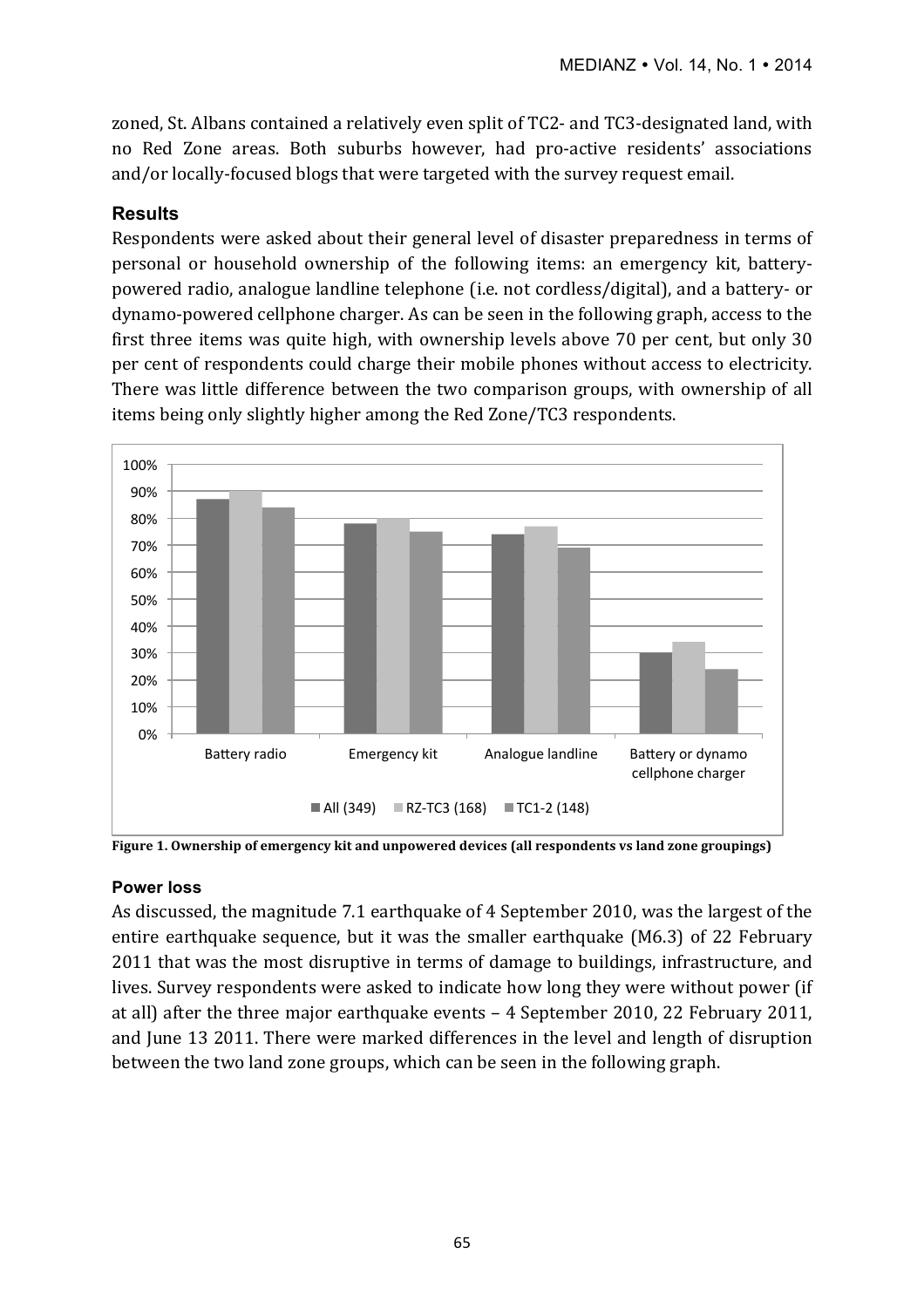zoned, St. Albans contained a relatively even split of TC2- and TC3-designated land, with no Red Zone areas. Both suburbs however, had pro-active residents' associations and/or locally-focused blogs that were targeted with the survey request email.

#### **Results**

Respondents were asked about their general level of disaster preparedness in terms of personal or household ownership of the following items: an emergency kit, batterypowered radio, analogue landline telephone (i.e. not cordless/digital), and a battery- or dynamo-powered cellphone charger. As can be seen in the following graph, access to the first three items was quite high, with ownership levels above  $70$  per cent, but only  $30$ per cent of respondents could charge their mobile phones without access to electricity. There was little difference between the two comparison groups, with ownership of all items being only slightly higher among the Red Zone/TC3 respondents.



**Figure 1.** Ownership of emergency kit and unpowered devices (all respondents vs land zone groupings)

#### **Power loss**

As discussed, the magnitude 7.1 earthquake of 4 September 2010, was the largest of the entire earthquake sequence, but it was the smaller earthquake (M6.3) of 22 February 2011 that was the most disruptive in terms of damage to buildings, infrastructure, and lives. Survey respondents were asked to indicate how long they were without power (if at all) after the three major earthquake events - 4 September 2010, 22 February 2011, and June 13 2011. There were marked differences in the level and length of disruption between the two land zone groups, which can be seen in the following graph.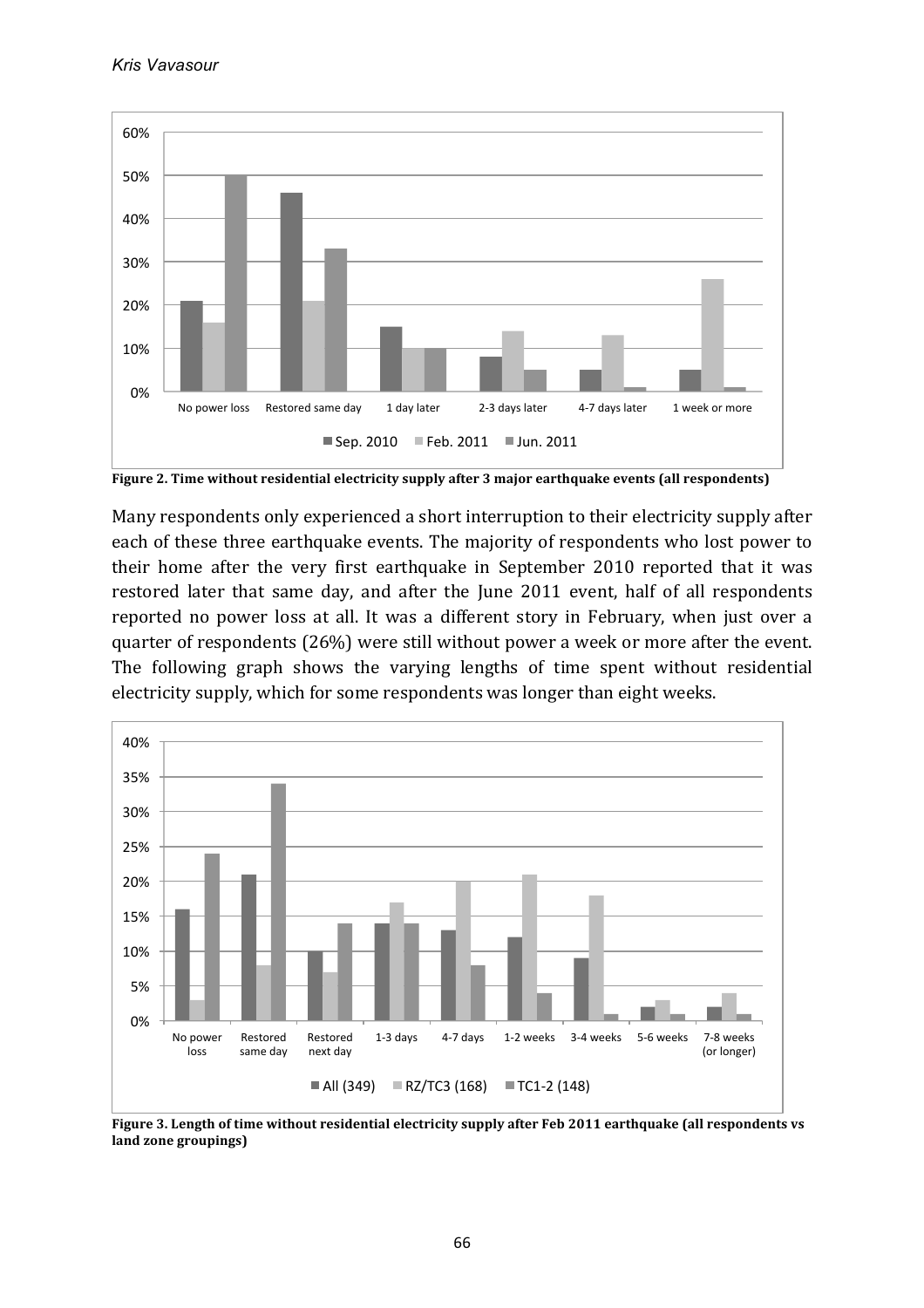

**Figure 2.** Time without residential electricity supply after 3 major earthquake events (all respondents)

Many respondents only experienced a short interruption to their electricity supply after each of these three earthquake events. The majority of respondents who lost power to their home after the very first earthquake in September 2010 reported that it was restored later that same day, and after the June 2011 event, half of all respondents reported no power loss at all. It was a different story in February, when just over a quarter of respondents  $(26%)$  were still without power a week or more after the event. The following graph shows the varying lengths of time spent without residential electricity supply, which for some respondents was longer than eight weeks.



Figure 3. Length of time without residential electricity supply after Feb 2011 earthquake (all respondents vs **land zone groupings)**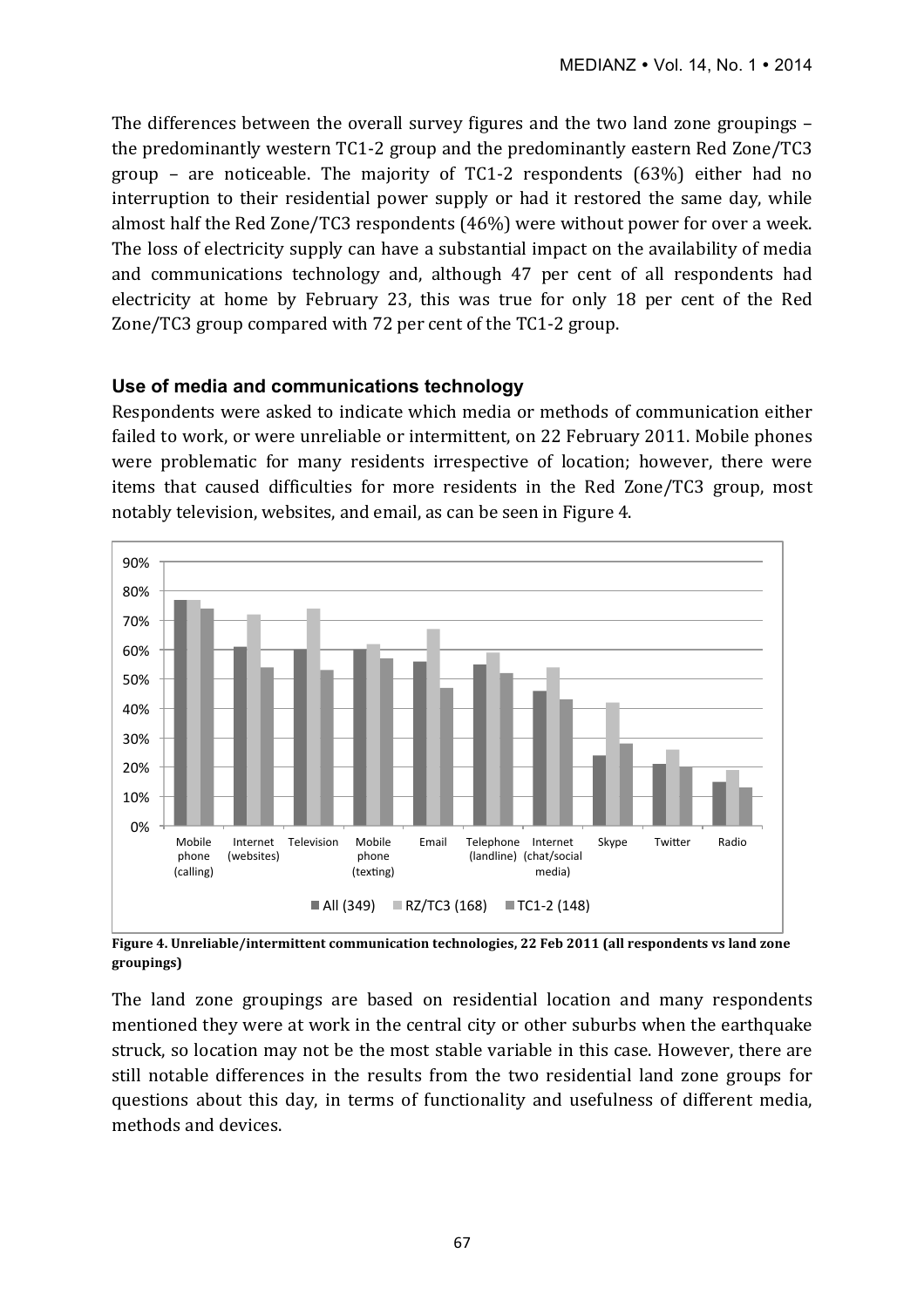The differences between the overall survey figures and the two land zone groupings – the predominantly western TC1-2 group and the predominantly eastern Red Zone/TC3 group – are noticeable. The majority of TC1-2 respondents  $(63%)$  either had no interruption to their residential power supply or had it restored the same day, while almost half the Red Zone/TC3 respondents  $(46%)$  were without power for over a week. The loss of electricity supply can have a substantial impact on the availability of media and communications technology and, although 47 per cent of all respondents had electricity at home by February 23, this was true for only 18 per cent of the Red Zone/TC3 group compared with 72 per cent of the TC1-2 group.

#### **Use of media and communications technology**

Respondents were asked to indicate which media or methods of communication either failed to work, or were unreliable or intermittent, on 22 February 2011. Mobile phones were problematic for many residents irrespective of location; however, there were items that caused difficulties for more residents in the Red Zone/TC3 group, most notably television, websites, and email, as can be seen in Figure 4.



Figure 4. Unreliable/intermittent communication technologies, 22 Feb 2011 (all respondents vs land zone **groupings)**

The land zone groupings are based on residential location and many respondents mentioned they were at work in the central city or other suburbs when the earthquake struck, so location may not be the most stable variable in this case. However, there are still notable differences in the results from the two residential land zone groups for questions about this day, in terms of functionality and usefulness of different media, methods and devices.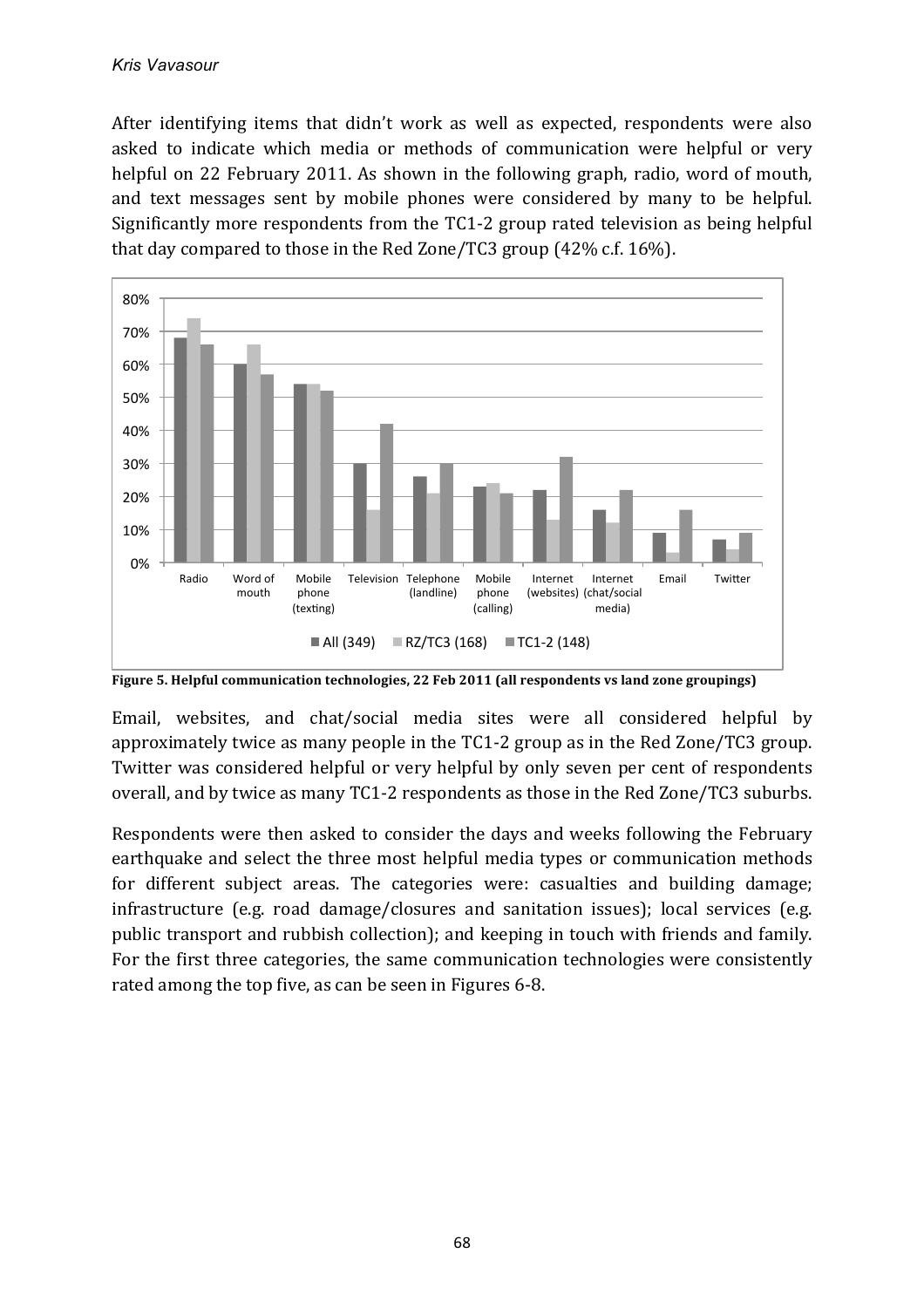After identifying items that didn't work as well as expected, respondents were also asked to indicate which media or methods of communication were helpful or very helpful on 22 February 2011. As shown in the following graph, radio, word of mouth, and text messages sent by mobile phones were considered by many to be helpful. Significantly more respondents from the  $TC1-2$  group rated television as being helpful that day compared to those in the Red Zone/TC3 group  $(42\% \text{ c.f. } 16\%)$ .



Figure 5. Helpful communication technologies, 22 Feb 2011 (all respondents vs land zone groupings)

Email, websites, and chat/social media sites were all considered helpful by approximately twice as many people in the TC1-2 group as in the Red Zone/TC3 group. Twitter was considered helpful or very helpful by only seven per cent of respondents overall, and by twice as many TC1-2 respondents as those in the Red Zone/TC3 suburbs.

Respondents were then asked to consider the days and weeks following the February earthquake and select the three most helpful media types or communication methods for different subject areas. The categories were: casualties and building damage; infrastructure (e.g. road damage/closures and sanitation issues); local services (e.g. public transport and rubbish collection); and keeping in touch with friends and family. For the first three categories, the same communication technologies were consistently rated among the top five, as can be seen in Figures 6-8.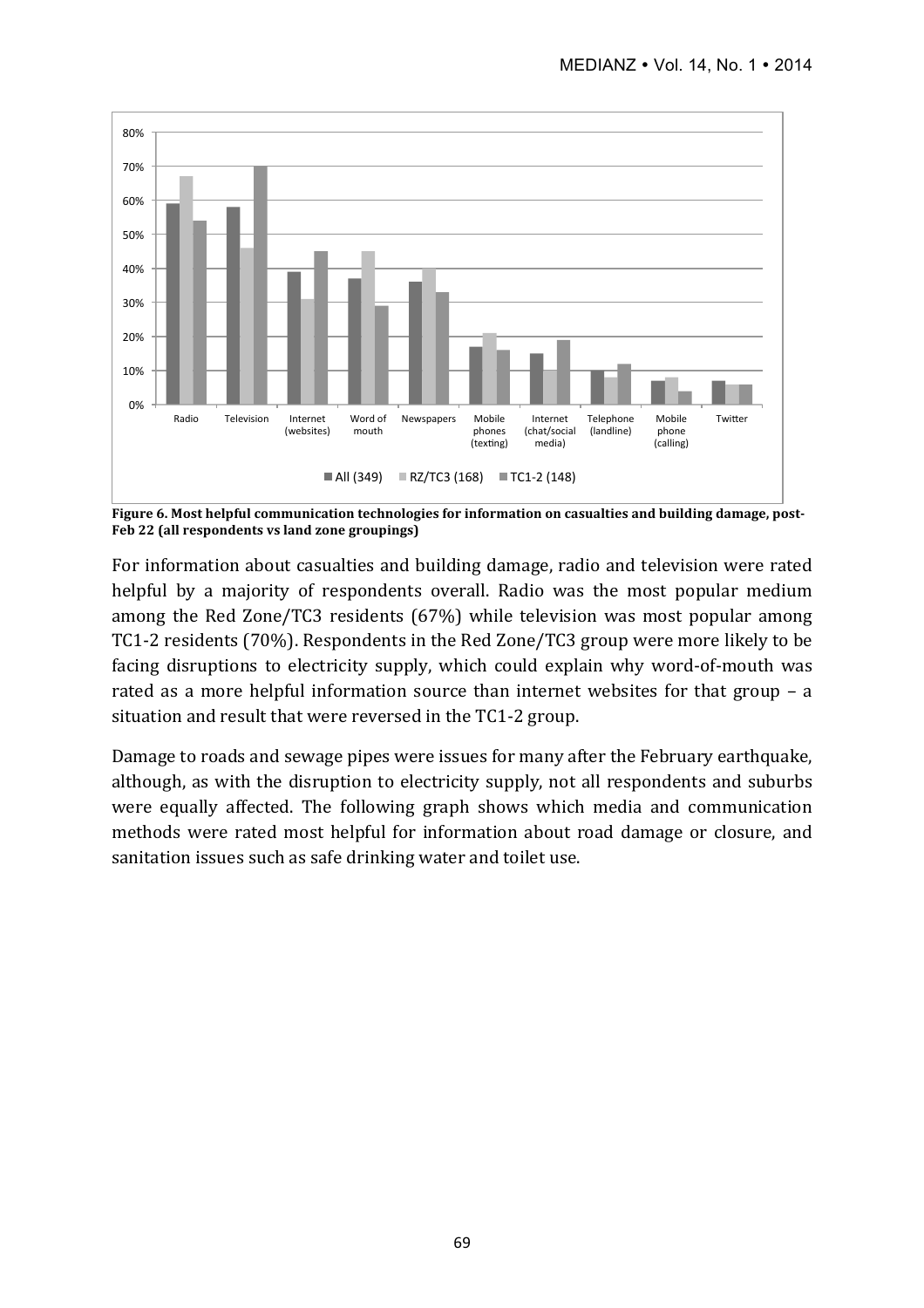

Figure 6. Most helpful communication technologies for information on casualties and building damage, post-Feb 22 (all respondents vs land zone groupings)

For information about casualties and building damage, radio and television were rated helpful by a majority of respondents overall. Radio was the most popular medium among the Red Zone/TC3 residents  $(67%)$  while television was most popular among TC1-2 residents (70%). Respondents in the Red Zone/TC3 group were more likely to be facing disruptions to electricity supply, which could explain why word-of-mouth was rated as a more helpful information source than internet websites for that group  $-$  a situation and result that were reversed in the TC1-2 group.

Damage to roads and sewage pipes were issues for many after the February earthquake, although, as with the disruption to electricity supply, not all respondents and suburbs were equally affected. The following graph shows which media and communication methods were rated most helpful for information about road damage or closure, and sanitation issues such as safe drinking water and toilet use.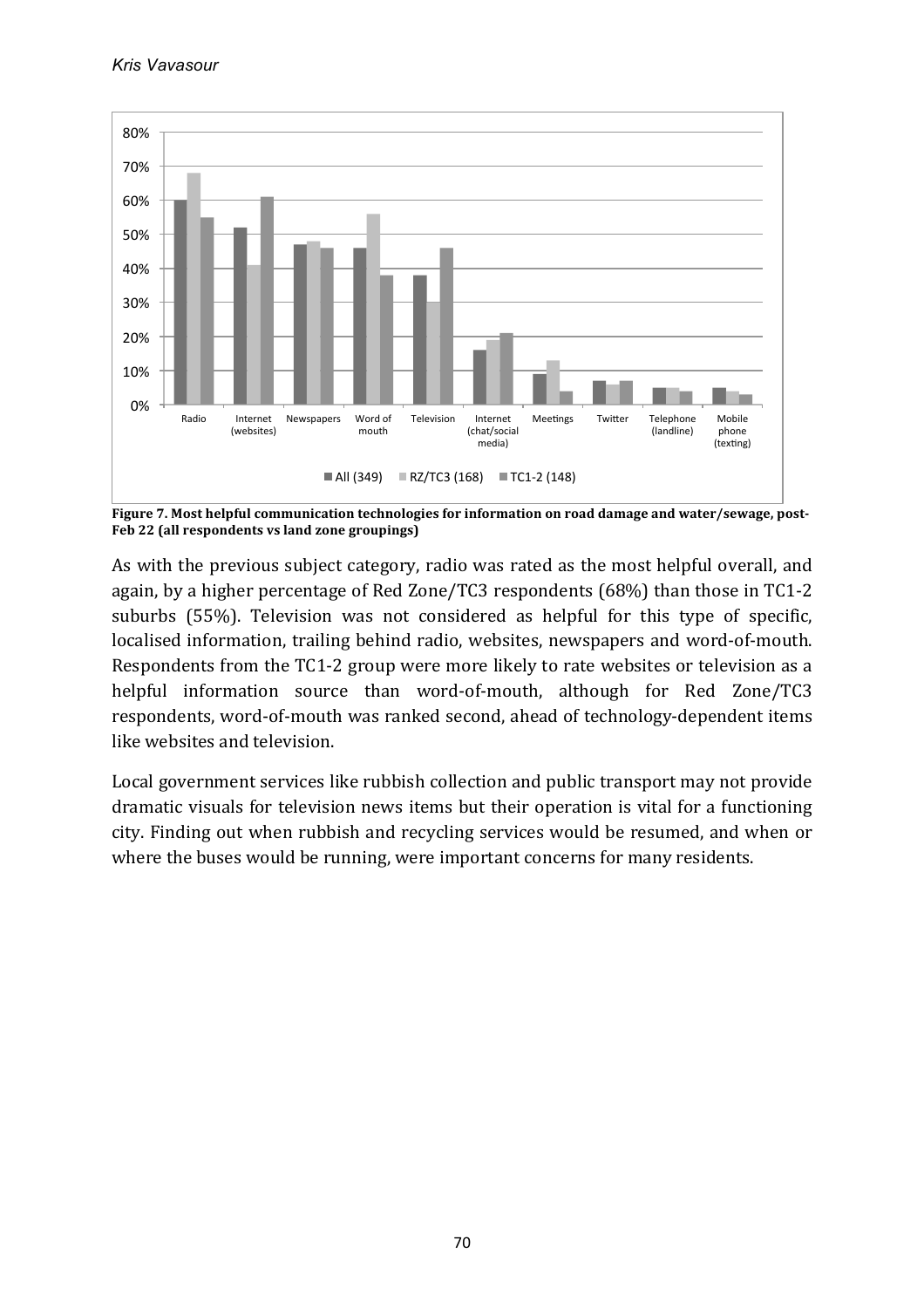

Figure 7. Most helpful communication technologies for information on road damage and water/sewage, post-Feb 22 (all respondents vs land zone groupings)

As with the previous subject category, radio was rated as the most helpful overall, and again, by a higher percentage of Red Zone/TC3 respondents  $(68%)$  than those in TC1-2 suburbs (55%). Television was not considered as helpful for this type of specific, localised information, trailing behind radio, websites, newspapers and word-of-mouth. Respondents from the TC1-2 group were more likely to rate websites or television as a helpful information source than word-of-mouth, although for Red Zone/TC3 respondents, word-of-mouth was ranked second, ahead of technology-dependent items like websites and television.

Local government services like rubbish collection and public transport may not provide dramatic visuals for television news items but their operation is vital for a functioning city. Finding out when rubbish and recycling services would be resumed, and when or where the buses would be running, were important concerns for many residents.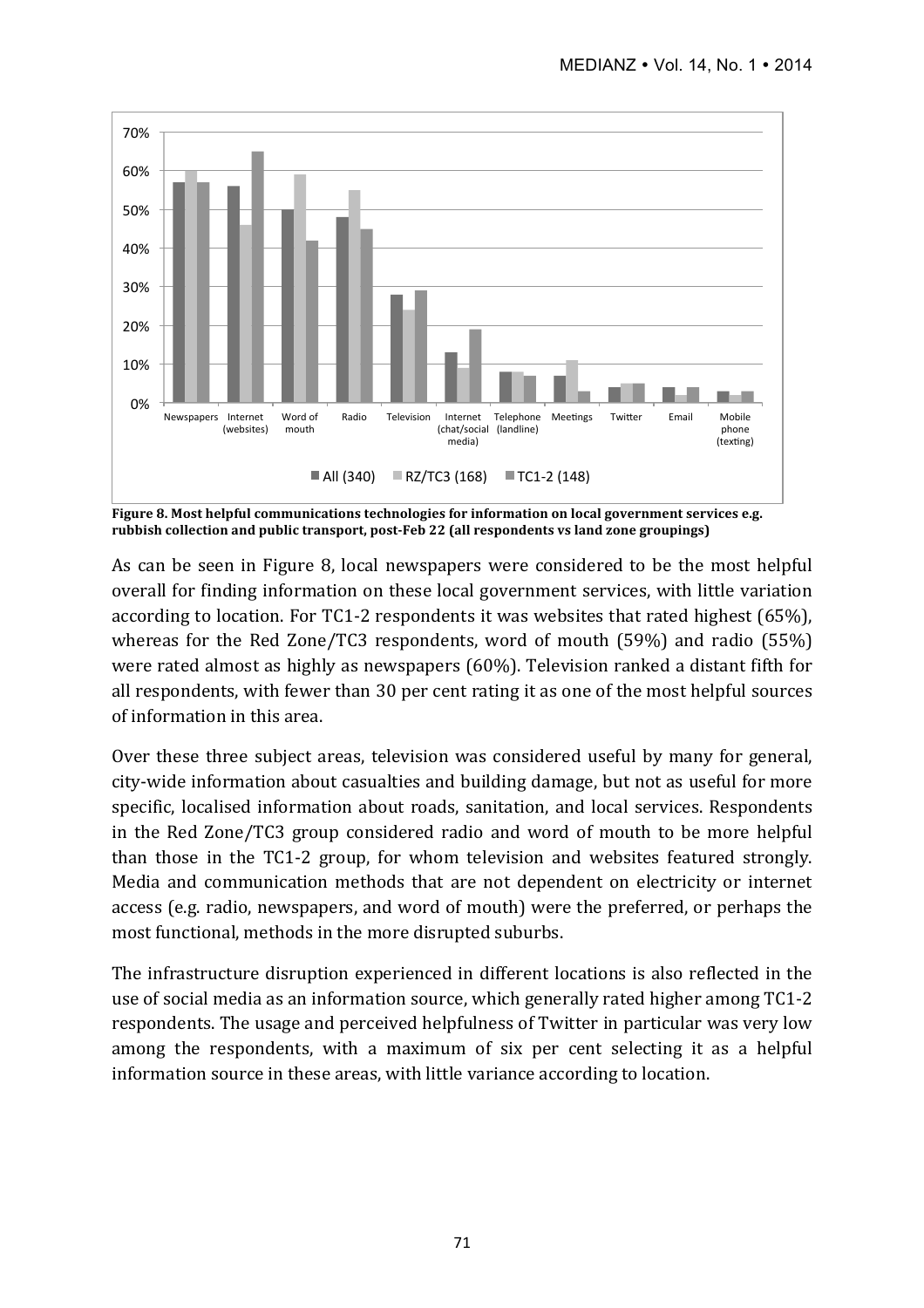

Figure 8. Most helpful communications technologies for information on local government services e.g. rubbish collection and public transport, post-Feb 22 (all respondents vs land zone groupings)

As can be seen in Figure 8, local newspapers were considered to be the most helpful overall for finding information on these local government services, with little variation according to location. For TC1-2 respondents it was websites that rated highest (65%), whereas for the Red Zone/TC3 respondents, word of mouth  $(59%)$  and radio  $(55%)$ were rated almost as highly as newspapers (60%). Television ranked a distant fifth for all respondents, with fewer than 30 per cent rating it as one of the most helpful sources of information in this area.

Over these three subject areas, television was considered useful by many for general, city-wide information about casualties and building damage, but not as useful for more specific, localised information about roads, sanitation, and local services. Respondents in the Red Zone/TC3 group considered radio and word of mouth to be more helpful than those in the TC1-2 group, for whom television and websites featured strongly. Media and communication methods that are not dependent on electricity or internet access (e.g. radio, newspapers, and word of mouth) were the preferred, or perhaps the most functional, methods in the more disrupted suburbs.

The infrastructure disruption experienced in different locations is also reflected in the use of social media as an information source, which generally rated higher among  $TC1-2$ respondents. The usage and perceived helpfulness of Twitter in particular was very low among the respondents, with a maximum of six per cent selecting it as a helpful information source in these areas, with little variance according to location.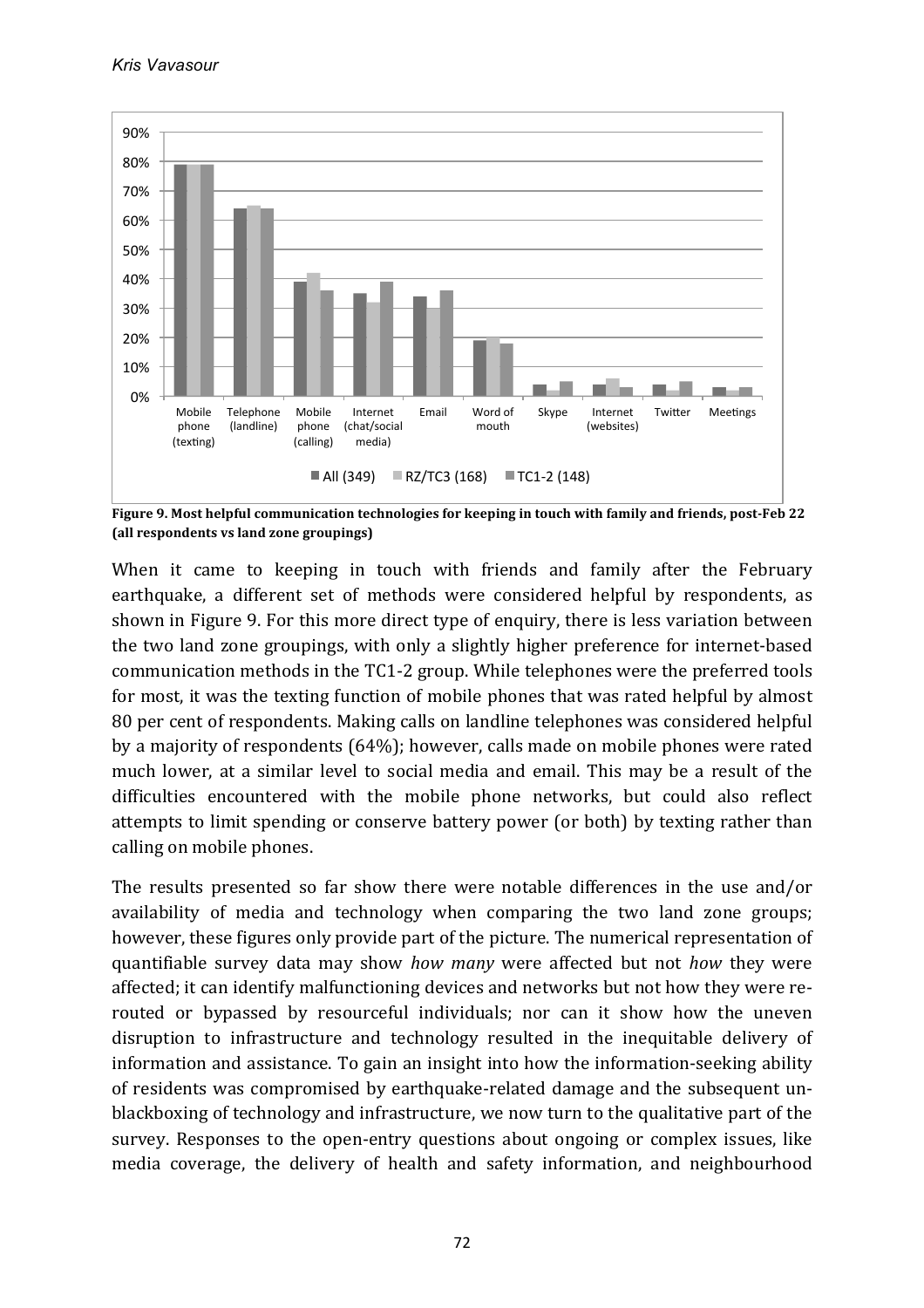

Figure 9. Most helpful communication technologies for keeping in touch with family and friends, post-Feb 22 **(all respondents vs land zone groupings)**

When it came to keeping in touch with friends and family after the February earthquake, a different set of methods were considered helpful by respondents, as shown in Figure 9. For this more direct type of enquiry, there is less variation between the two land zone groupings, with only a slightly higher preference for internet-based communication methods in the TC1-2 group. While telephones were the preferred tools for most, it was the texting function of mobile phones that was rated helpful by almost 80 per cent of respondents. Making calls on landline telephones was considered helpful by a majority of respondents (64%); however, calls made on mobile phones were rated much lower, at a similar level to social media and email. This may be a result of the difficulties encountered with the mobile phone networks, but could also reflect attempts to limit spending or conserve battery power (or both) by texting rather than calling on mobile phones.

The results presented so far show there were notable differences in the use and/or availability of media and technology when comparing the two land zone groups; however, these figures only provide part of the picture. The numerical representation of quantifiable survey data may show *how many* were affected but not *how* they were affected; it can identify malfunctioning devices and networks but not how they were rerouted or bypassed by resourceful individuals; nor can it show how the uneven disruption to infrastructure and technology resulted in the inequitable delivery of information and assistance. To gain an insight into how the information-seeking ability of residents was compromised by earthquake-related damage and the subsequent unblackboxing of technology and infrastructure, we now turn to the qualitative part of the survey. Responses to the open-entry questions about ongoing or complex issues, like media coverage, the delivery of health and safety information, and neighbourhood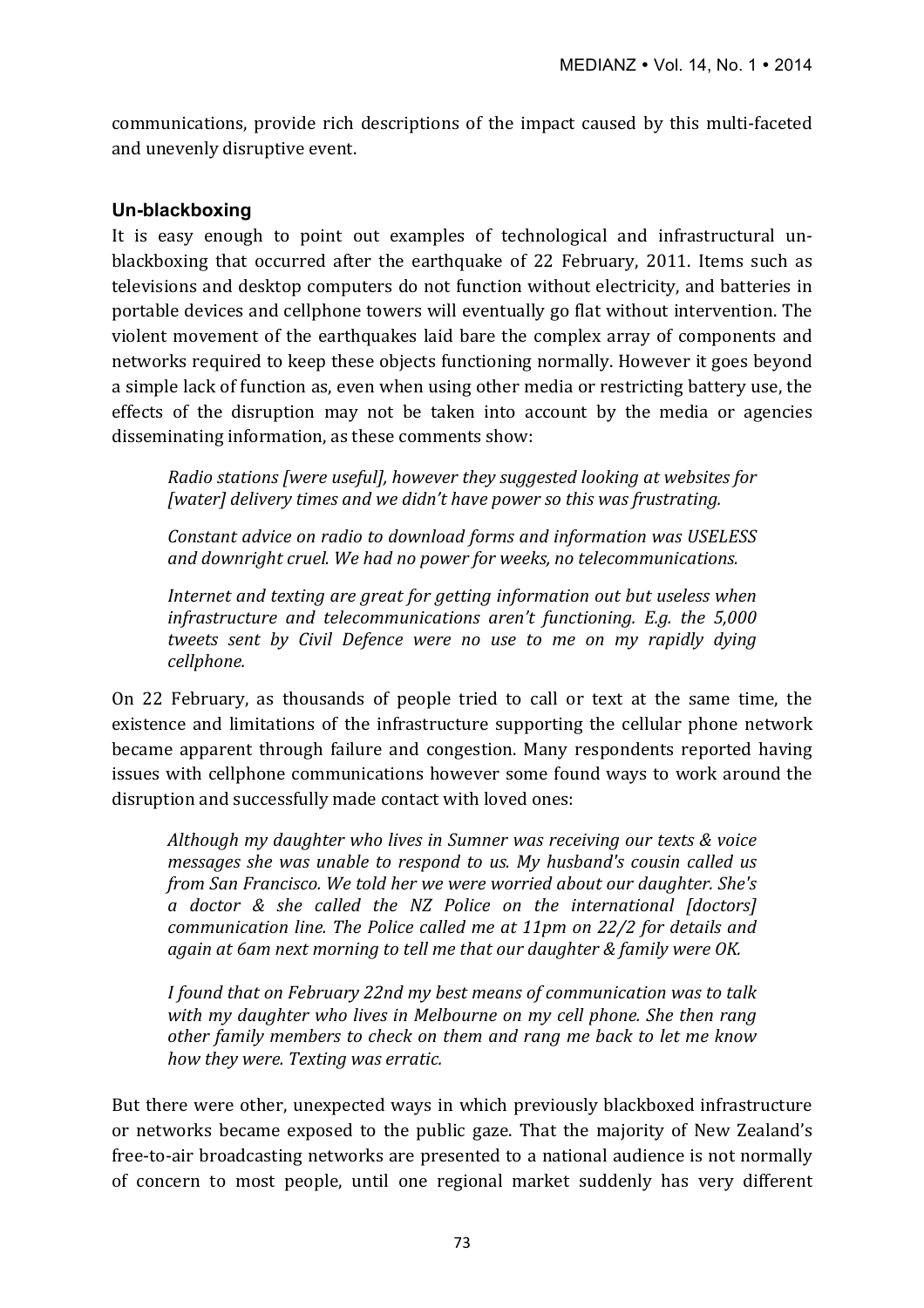communications, provide rich descriptions of the impact caused by this multi-faceted and unevenly disruptive event.

#### **Un-blackboxing**

It is easy enough to point out examples of technological and infrastructural unblackboxing that occurred after the earthquake of 22 February, 2011. Items such as televisions and desktop computers do not function without electricity, and batteries in portable devices and cellphone towers will eventually go flat without intervention. The violent movement of the earthquakes laid bare the complex array of components and networks required to keep these objects functioning normally. However it goes beyond a simple lack of function as, even when using other media or restricting battery use, the effects of the disruption may not be taken into account by the media or agencies disseminating information, as these comments show:

*Radio stations [were useful], however they suggested looking at websites for* [water] delivery times and we didn't have power so this was frustrating.

*Constant advice on radio to download forms and information was USELESS* and downright cruel. We had no power for weeks, no telecommunications.

*Internet and texting are great for getting information out but useless when infrastructure and telecommunications aren't functioning. E.g. the 5,000 tweets sent by Civil Defence were no use to me on my rapidly dying cellphone.*

On 22 February, as thousands of people tried to call or text at the same time, the existence and limitations of the infrastructure supporting the cellular phone network became apparent through failure and congestion. Many respondents reported having issues with cellphone communications however some found ways to work around the disruption and successfully made contact with loved ones:

*Although my daughter who lives in Sumner was receiving our texts & voice messages* she was unable to respond to us. My husband's cousin called us *from San Francisco. We told her we were worried about our daughter. She's a doctor & she called the NZ Police on the international [doctors] communication line. The Police called me at 11pm on 22/2 for details and* again at 6am next morning to tell me that our daughter & family were OK.

*I* found that on February 22nd my best means of communication was to talk with my daughter who lives in Melbourne on my cell phone. She then rang other family members to check on them and rang me back to let me know *how they were. Texting was erratic.* 

But there were other, unexpected ways in which previously blackboxed infrastructure or networks became exposed to the public gaze. That the majority of New Zealand's free-to-air broadcasting networks are presented to a national audience is not normally of concern to most people, until one regional market suddenly has very different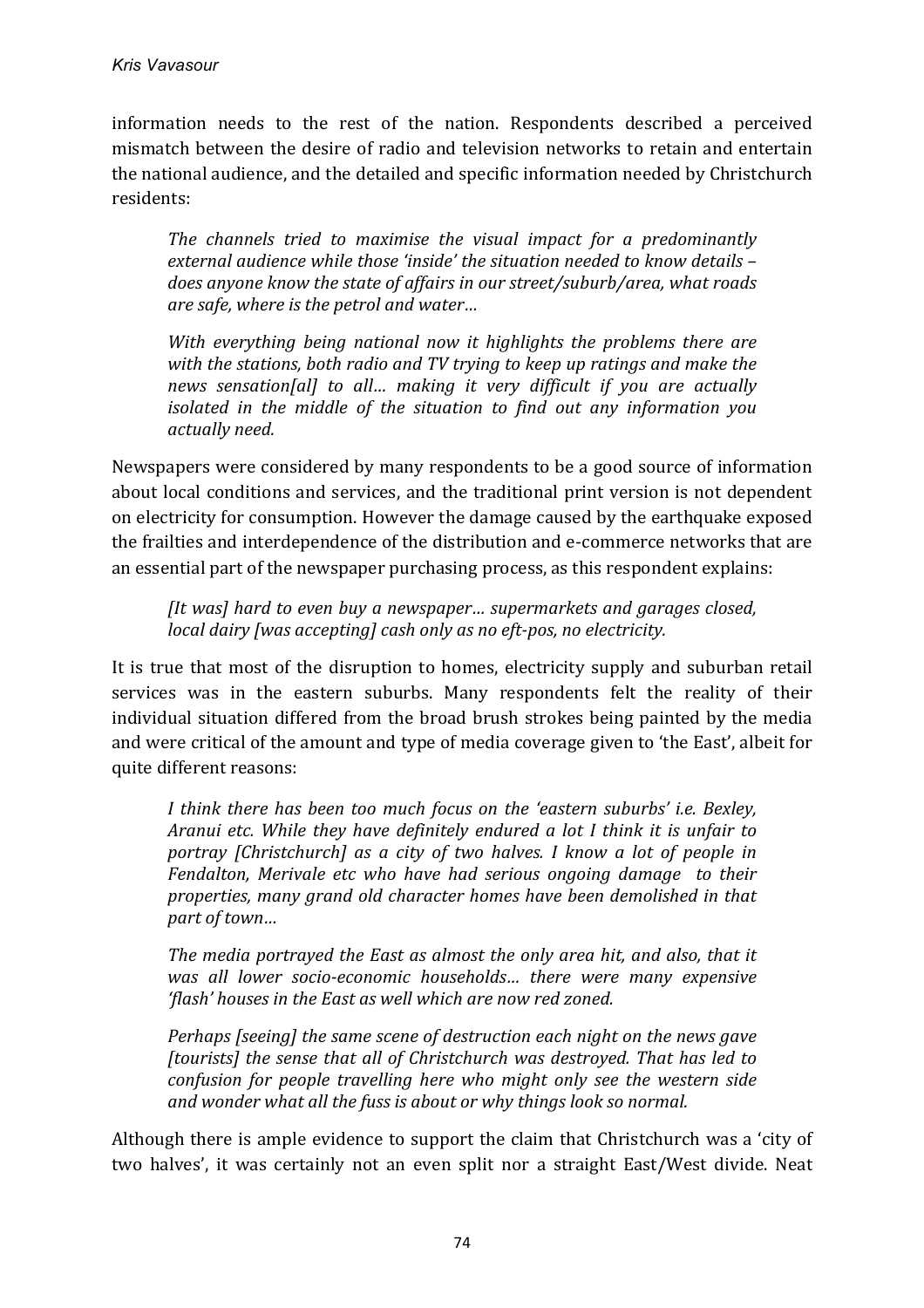information needs to the rest of the nation. Respondents described a perceived mismatch between the desire of radio and television networks to retain and entertain the national audience, and the detailed and specific information needed by Christchurch residents:

The channels tried to maximise the visual impact for a predominantly external audience while those 'inside' the situation needed to know details does anyone know the state of affairs in our street/suburb/area, what roads *are safe, where is the petrol and water...* 

*With* everything being national now it highlights the problems there are with the stations, both radio and TV trying to keep up ratings and make the *news sensation[al]* to all... making it very difficult if you are actually *isolated in the middle of the situation to find out any information you actually need.*

Newspapers were considered by many respondents to be a good source of information about local conditions and services, and the traditional print version is not dependent on electricity for consumption. However the damage caused by the earthquake exposed the frailties and interdependence of the distribution and e-commerce networks that are an essential part of the newspaper purchasing process, as this respondent explains:

*[It was] hard to even buy a newspaper... supermarkets and garages closed, local dairy* [was accepting] cash only as no eft-pos, no electricity.

It is true that most of the disruption to homes, electricity supply and suburban retail services was in the eastern suburbs. Many respondents felt the reality of their individual situation differed from the broad brush strokes being painted by the media and were critical of the amount and type of media coverage given to 'the East', albeit for quite different reasons:

*I* think there has been too much focus on the 'eastern suburbs' i.e. Bexley, *Aranui etc. While they have definitely endured a lot I think it is unfair to portray* [Christchurch] as a city of two halves. I know a lot of people in *Fendalton, Merivale etc who have had serious ongoing damage to their properties, many grand old character homes have been demolished in that part of town…*

The media portrayed the East as almost the only area hit, and also, that it was all lower socio-economic households... there were many expensive 'flash' houses in the East as well which are now red zoned.

*Perhaps* [seeing] the same scene of destruction each night on the news gave *[tourists]* the sense that all of Christchurch was destroyed. That has led to *confusion for people travelling here who might only see the western side* and wonder what all the fuss is about or why things look so normal.

Although there is ample evidence to support the claim that Christchurch was a 'city of two halves', it was certainly not an even split nor a straight East/West divide. Neat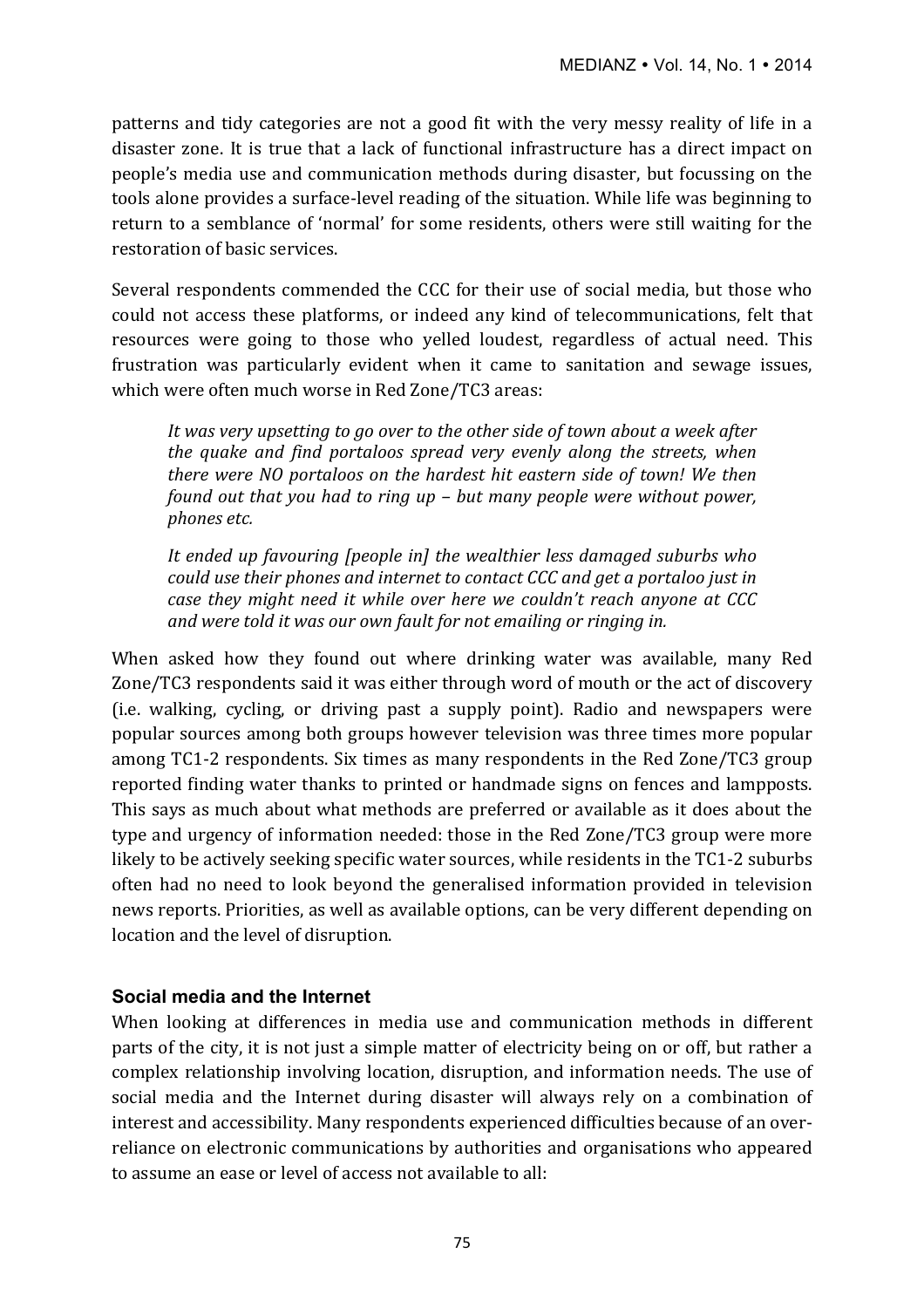patterns and tidy categories are not a good fit with the very messy reality of life in a disaster zone. It is true that a lack of functional infrastructure has a direct impact on people's media use and communication methods during disaster, but focussing on the tools alone provides a surface-level reading of the situation. While life was beginning to return to a semblance of 'normal' for some residents, others were still waiting for the restoration of basic services.

Several respondents commended the CCC for their use of social media, but those who could not access these platforms, or indeed any kind of telecommunications, felt that resources were going to those who yelled loudest, regardless of actual need. This frustration was particularly evident when it came to sanitation and sewage issues, which were often much worse in Red Zone/TC3 areas:

It was very upsetting to go over to the other side of town about a week after *the quake and find portaloos spread very evenly along the streets, when there were NO portaloos on the hardest hit eastern side of town! We then found out that you had to ring up – but many people were without power, phones etc.*

It ended up favouring *[people in]* the wealthier less damaged suburbs who *could use their phones and internet to contact CCC and get a portaloo just in case they might need it while over here we couldn't reach anyone at CCC and* were told it was our own fault for not emailing or ringing in.

When asked how they found out where drinking water was available, many Red Zone/TC3 respondents said it was either through word of mouth or the act of discovery (i.e. walking, cycling, or driving past a supply point). Radio and newspapers were popular sources among both groups however television was three times more popular among TC1-2 respondents. Six times as many respondents in the Red Zone/TC3 group reported finding water thanks to printed or handmade signs on fences and lampposts. This says as much about what methods are preferred or available as it does about the type and urgency of information needed: those in the Red Zone/TC3 group were more likely to be actively seeking specific water sources, while residents in the TC1-2 suburbs often had no need to look beyond the generalised information provided in television news reports. Priorities, as well as available options, can be very different depending on location and the level of disruption.

# **Social media and the Internet**

When looking at differences in media use and communication methods in different parts of the city, it is not just a simple matter of electricity being on or off, but rather a complex relationship involving location, disruption, and information needs. The use of social media and the Internet during disaster will always rely on a combination of interest and accessibility. Many respondents experienced difficulties because of an overreliance on electronic communications by authorities and organisations who appeared to assume an ease or level of access not available to all: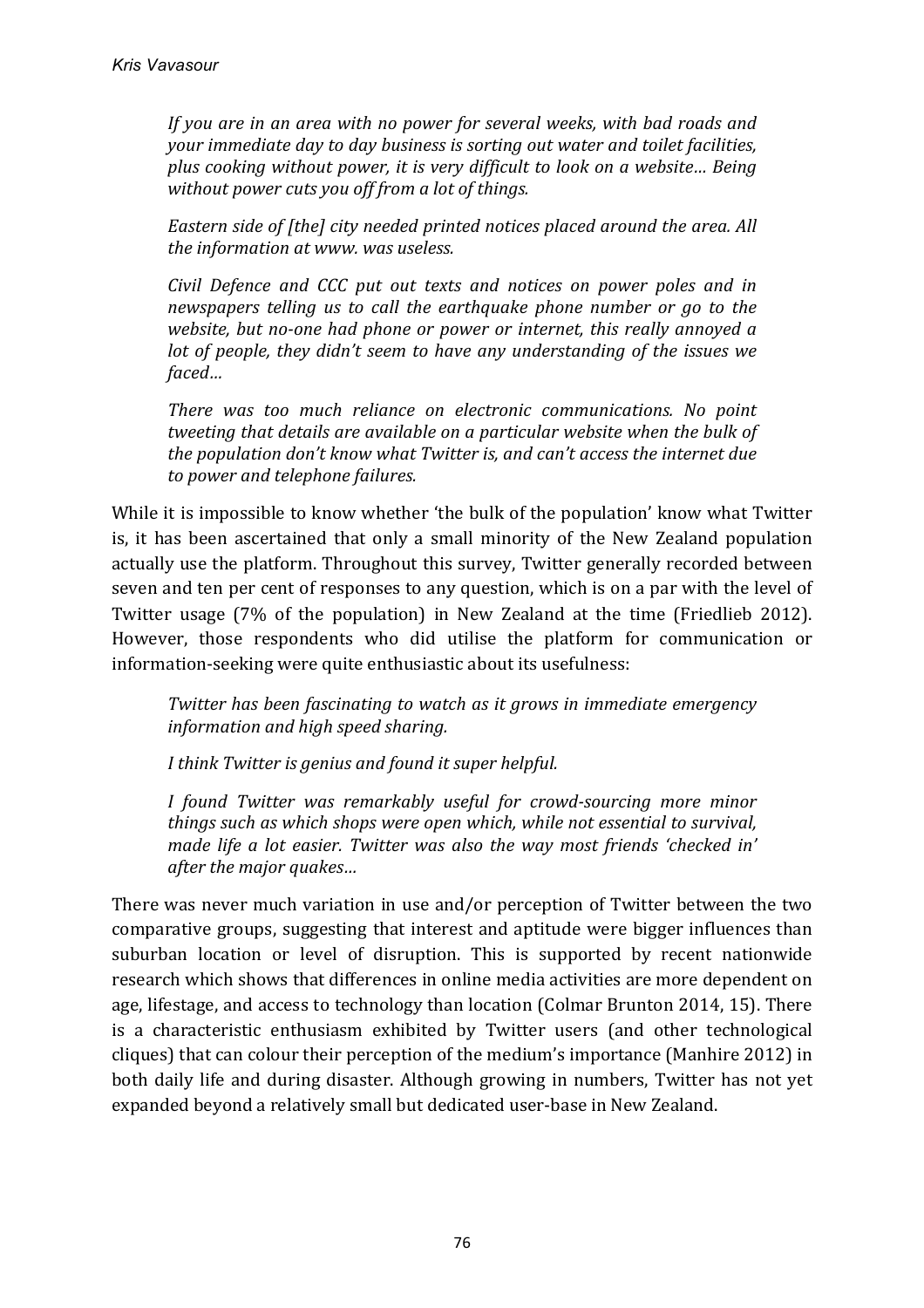*If* you are in an area with no power for several weeks, with bad roads and *your immediate day to day business is sorting out water and toilet facilities, plus cooking without power, it is very difficult to look on a website... Being* without power cuts you off from a lot of things.

*Eastern side of [the] city needed printed notices placed around the area. All the information at www. was useless.* 

*Civil Defence and CCC put out texts and notices on power poles and in newspapers telling us to call the earthquake phone number or go to the website, but no-one had phone or power or internet, this really annoyed a lot* of people, they didn't seem to have any understanding of the issues we *faced…*

*There* was too much reliance on electronic communications. No point *tweeting that details are available on a particular website when the bulk of the population don't know what Twitter is, and can't access the internet due to power and telephone failures.*

While it is impossible to know whether 'the bulk of the population' know what Twitter is, it has been ascertained that only a small minority of the New Zealand population actually use the platform. Throughout this survey, Twitter generally recorded between seven and ten per cent of responses to any question, which is on a par with the level of Twitter usage (7% of the population) in New Zealand at the time (Friedlieb 2012). However, those respondents who did utilise the platform for communication or information-seeking were quite enthusiastic about its usefulness:

*Twitter has been fascinating to watch as it grows in immediate emergency information and high speed sharing.*

*I* think Twitter is genius and found it super helpful.

*I found Twitter was remarkably useful for crowd-sourcing more minor things such as which shops were open which, while not essential to survival, made life a lot easier. Twitter was also the way most friends 'checked in' after the major quakes...* 

There was never much variation in use and/or perception of Twitter between the two comparative groups, suggesting that interest and aptitude were bigger influences than suburban location or level of disruption. This is supported by recent nationwide research which shows that differences in online media activities are more dependent on age, lifestage, and access to technology than location (Colmar Brunton 2014, 15). There is a characteristic enthusiasm exhibited by Twitter users (and other technological cliques) that can colour their perception of the medium's importance (Manhire 2012) in both daily life and during disaster. Although growing in numbers, Twitter has not yet expanded beyond a relatively small but dedicated user-base in New Zealand.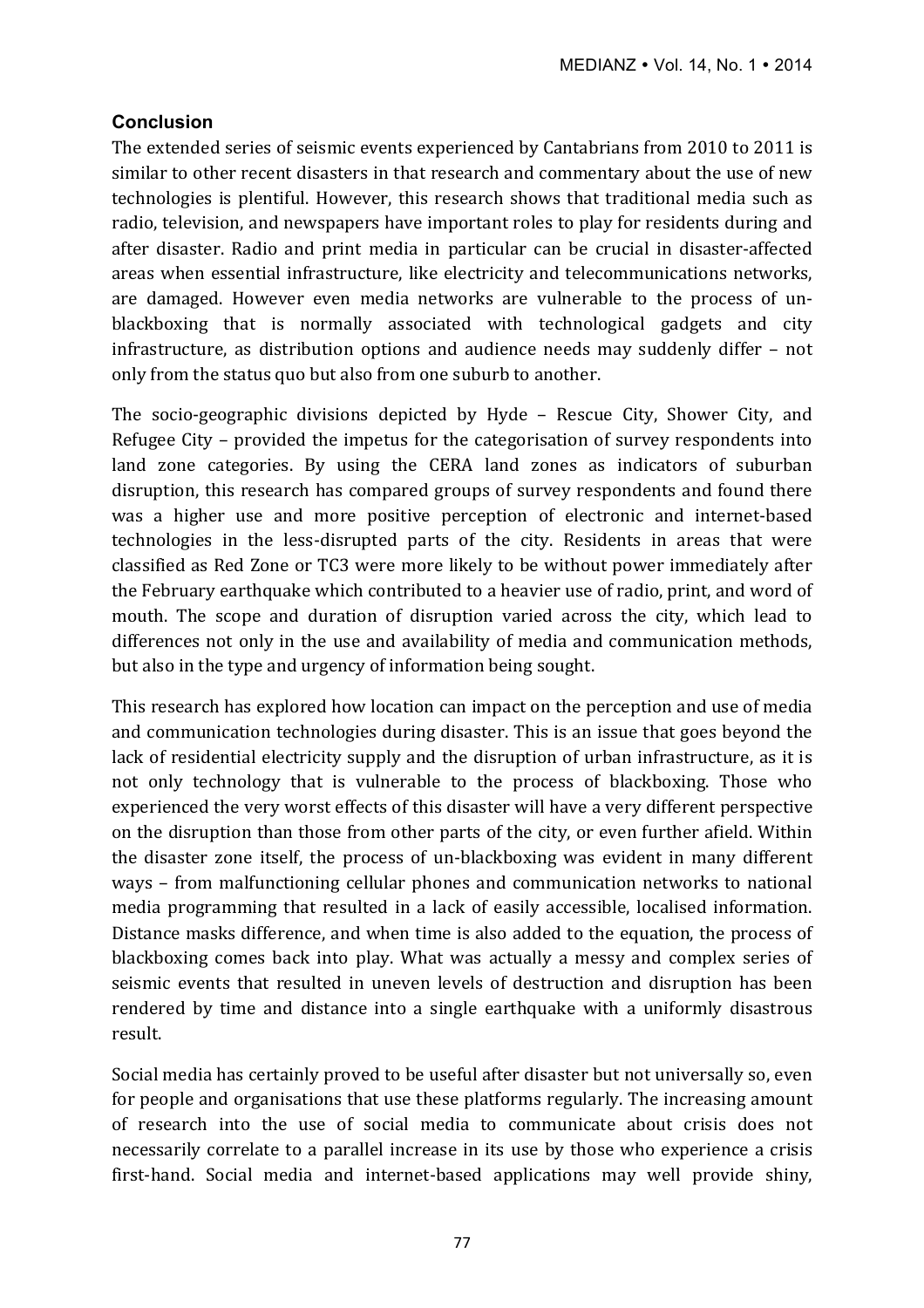# **Conclusion**

The extended series of seismic events experienced by Cantabrians from 2010 to 2011 is similar to other recent disasters in that research and commentary about the use of new technologies is plentiful. However, this research shows that traditional media such as radio, television, and newspapers have important roles to play for residents during and after disaster. Radio and print media in particular can be crucial in disaster-affected areas when essential infrastructure, like electricity and telecommunications networks, are damaged. However even media networks are vulnerable to the process of unblackboxing that is normally associated with technological gadgets and city infrastructure, as distribution options and audience needs may suddenly differ – not only from the status quo but also from one suburb to another.

The socio-geographic divisions depicted by Hyde – Rescue City, Shower City, and Refugee City – provided the impetus for the categorisation of survey respondents into land zone categories. By using the CERA land zones as indicators of suburban disruption, this research has compared groups of survey respondents and found there was a higher use and more positive perception of electronic and internet-based technologies in the less-disrupted parts of the city. Residents in areas that were classified as Red Zone or TC3 were more likely to be without power immediately after the February earthquake which contributed to a heavier use of radio, print, and word of mouth. The scope and duration of disruption varied across the city, which lead to differences not only in the use and availability of media and communication methods, but also in the type and urgency of information being sought.

This research has explored how location can impact on the perception and use of media and communication technologies during disaster. This is an issue that goes beyond the lack of residential electricity supply and the disruption of urban infrastructure, as it is not only technology that is vulnerable to the process of blackboxing. Those who experienced the very worst effects of this disaster will have a very different perspective on the disruption than those from other parts of the city, or even further afield. Within the disaster zone itself, the process of un-blackboxing was evident in many different ways – from malfunctioning cellular phones and communication networks to national media programming that resulted in a lack of easily accessible, localised information. Distance masks difference, and when time is also added to the equation, the process of blackboxing comes back into play. What was actually a messy and complex series of seismic events that resulted in uneven levels of destruction and disruption has been rendered by time and distance into a single earthquake with a uniformly disastrous result. 

Social media has certainly proved to be useful after disaster but not universally so, even for people and organisations that use these platforms regularly. The increasing amount of research into the use of social media to communicate about crisis does not necessarily correlate to a parallel increase in its use by those who experience a crisis first-hand. Social media and internet-based applications may well provide shiny,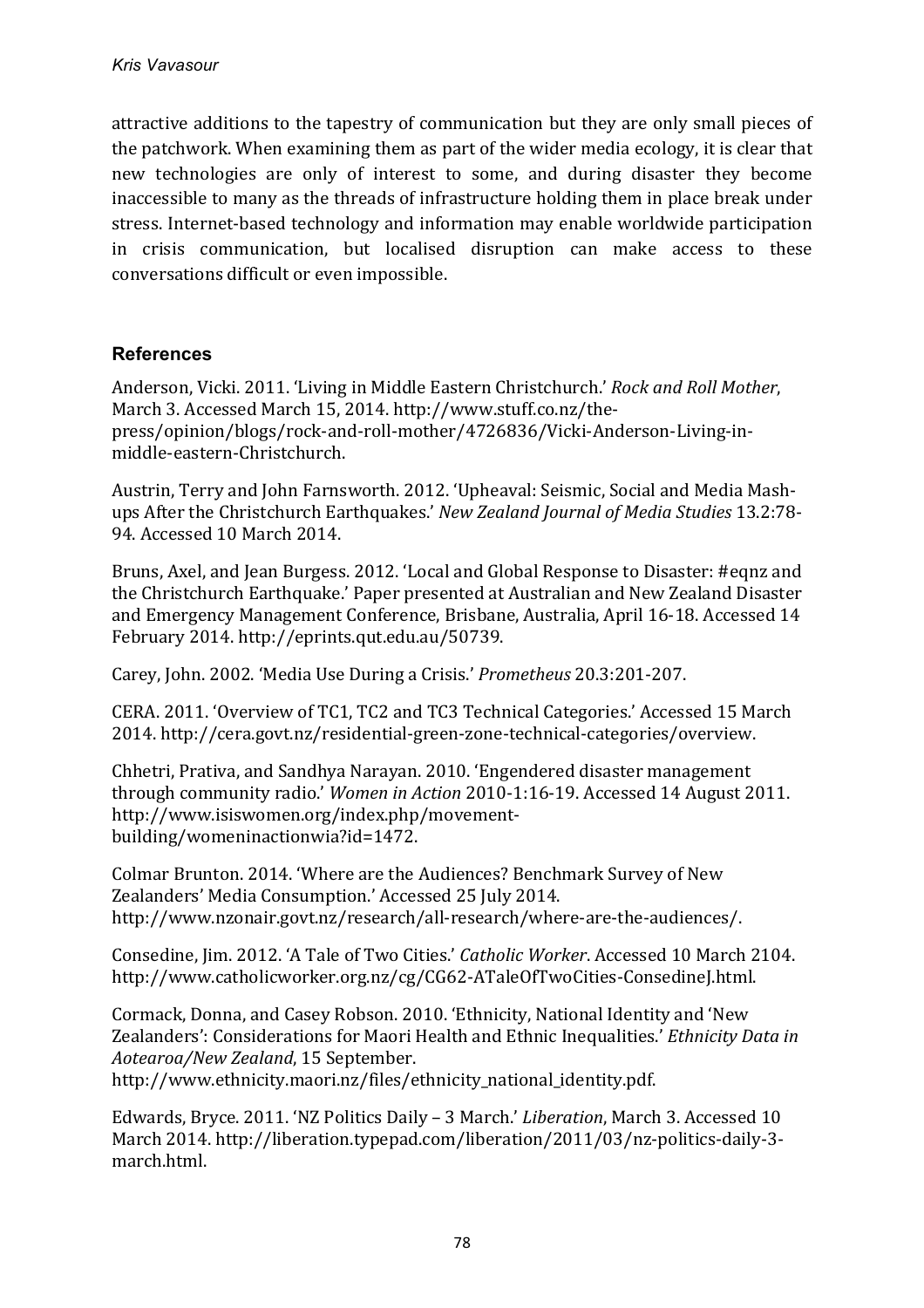attractive additions to the tapestry of communication but they are only small pieces of the patchwork. When examining them as part of the wider media ecology, it is clear that new technologies are only of interest to some, and during disaster they become inaccessible to many as the threads of infrastructure holding them in place break under stress. Internet-based technology and information may enable worldwide participation in crisis communication, but localised disruption can make access to these conversations difficult or even impossible.

# **References**

Anderson, Vicki. 2011. 'Living in Middle Eastern Christchurch.' *Rock and Roll Mother*. March 3. Accessed March 15, 2014. http://www.stuff.co.nz/thepress/opinion/blogs/rock-and-roll-mother/4726836/Vicki-Anderson-Living-inmiddle-eastern-Christchurch.

Austrin, Terry and John Farnsworth. 2012. 'Upheaval: Seismic, Social and Media Mashups After the Christchurch Earthquakes.' *New Zealand Journal of Media Studies* 13.2:78-94. Accessed 10 March 2014.

Bruns, Axel, and Jean Burgess. 2012. 'Local and Global Response to Disaster: #eqnz and the Christchurch Earthquake.' Paper presented at Australian and New Zealand Disaster and Emergency Management Conference, Brisbane, Australia, April 16-18. Accessed 14 February 2014. http://eprints.qut.edu.au/50739. 

Carey, John. 2002. 'Media Use During a Crisis.' *Prometheus* 20.3:201-207.

CERA. 2011. 'Overview of TC1, TC2 and TC3 Technical Categories.' Accessed 15 March 2014. http://cera.govt.nz/residential-green-zone-technical-categories/overview.

Chhetri, Prativa, and Sandhya Narayan. 2010. 'Engendered disaster management through community radio.' *Women in Action* 2010-1:16-19. Accessed 14 August 2011. http://www.isiswomen.org/index.php/movementbuilding/womeninactionwia?id=1472.

Colmar Brunton. 2014. 'Where are the Audiences? Benchmark Survey of New Zealanders' Media Consumption.' Accessed 25 July 2014. http://www.nzonair.govt.nz/research/all-research/where-are-the-audiences/.

Consedine, Jim. 2012. 'A Tale of Two Cities.' *Catholic Worker*. Accessed 10 March 2104. http://www.catholicworker.org.nz/cg/CG62-ATaleOfTwoCities-ConsedineJ.html. 

Cormack, Donna, and Casey Robson, 2010. 'Ethnicity, National Identity and 'New Zealanders': Considerations for Maori Health and Ethnic Inequalities.' *Ethnicity Data in Aotearoa/New Zealand*, 15 September. 

http://www.ethnicity.maori.nz/files/ethnicity\_national\_identity.pdf.

Edwards, Bryce. 2011. 'NZ Politics Daily - 3 March.' *Liberation*, March 3. Accessed 10 March 2014. http://liberation.typepad.com/liberation/2011/03/nz-politics-daily-3march.html.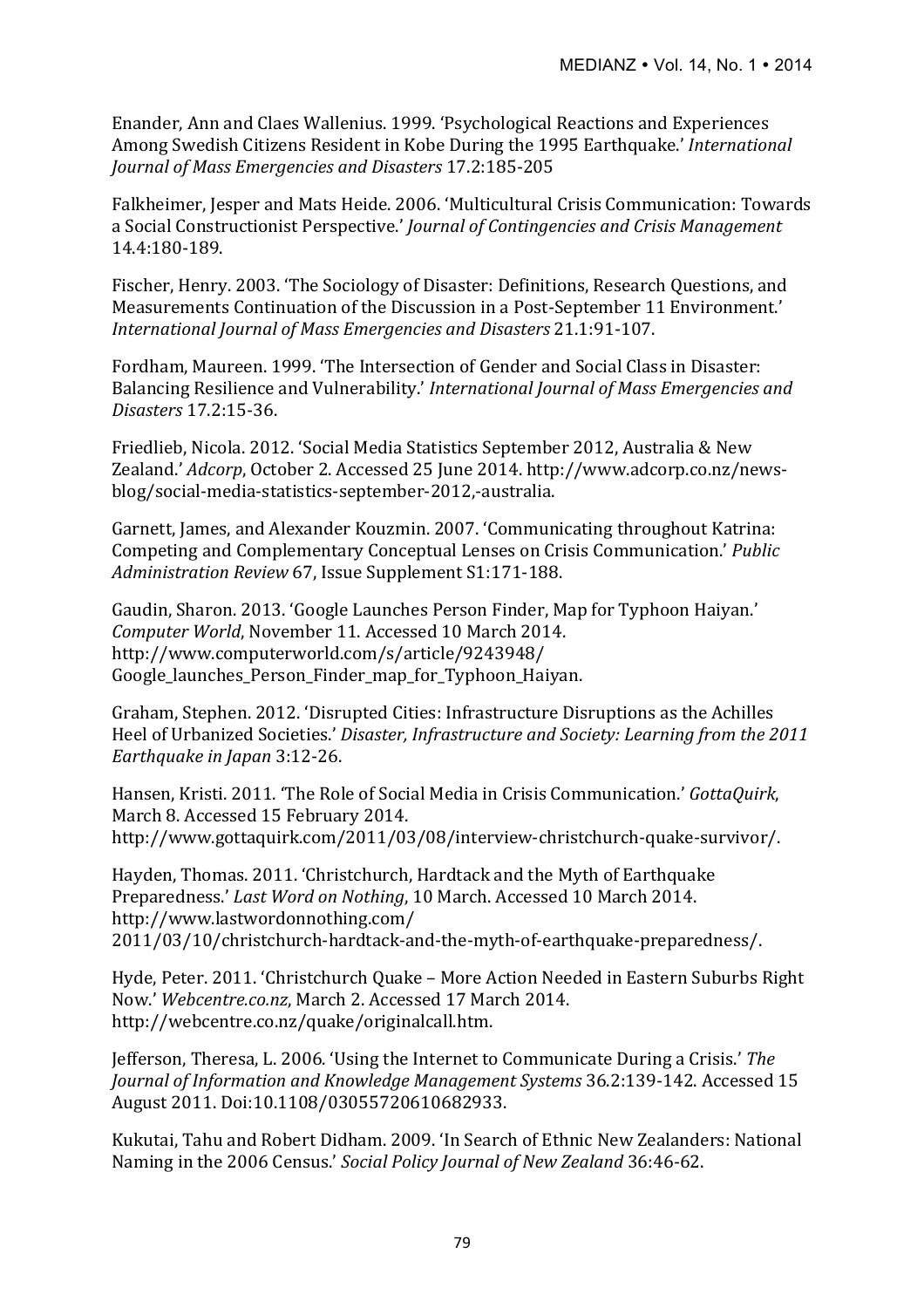Enander, Ann and Claes Wallenius. 1999. 'Psychological Reactions and Experiences Among Swedish Citizens Resident in Kobe During the 1995 Earthquake.' *International Journal of Mass Emergencies and Disasters* 17.2:185-205

Falkheimer, Jesper and Mats Heide. 2006. 'Multicultural Crisis Communication: Towards a Social Constructionist Perspective.' *Journal of Contingencies and Crisis Management* 14.4:180-189.

Fischer, Henry. 2003. 'The Sociology of Disaster: Definitions, Research Ouestions, and Measurements Continuation of the Discussion in a Post-September 11 Environment.' *International Journal of Mass Emergencies and Disasters* 21.1:91-107.

Fordham, Maureen. 1999. 'The Intersection of Gender and Social Class in Disaster: Balancing Resilience and Vulnerability.' *International Journal of Mass Emergencies and Disasters* 17.2:15-36.

Friedlieb, Nicola. 2012. 'Social Media Statistics September 2012, Australia & New Zealand.' *Adcorp*, October 2. Accessed 25 June 2014. http://www.adcorp.co.nz/newsblog/social-media-statistics-september-2012,-australia.

Garnett, James, and Alexander Kouzmin. 2007. 'Communicating throughout Katrina: Competing and Complementary Conceptual Lenses on Crisis Communication.' *Public* Administration Review 67, Issue Supplement S1:171-188.

Gaudin, Sharon. 2013. 'Google Launches Person Finder, Map for Typhoon Haiyan.' *Computer World*, November 11. Accessed 10 March 2014. http://www.computerworld.com/s/article/9243948/ Google launches Person Finder map for Typhoon Haiyan.

Graham, Stephen. 2012. 'Disrupted Cities: Infrastructure Disruptions as the Achilles Heel of Urbanized Societies.' *Disaster, Infrastructure and Society: Learning from the 2011 Earthquake in Japan* 3:12-26. 

Hansen, Kristi. 2011. 'The Role of Social Media in Crisis Communication.' *GottaQuirk*, March 8. Accessed 15 February 2014. http://www.gottaquirk.com/2011/03/08/interview-christchurch-quake-survivor/.

Hayden, Thomas. 2011. 'Christchurch, Hardtack and the Myth of Earthquake Preparedness.' *Last Word on Nothing*, 10 March. Accessed 10 March 2014. http://www.lastwordonnothing.com/ 2011/03/10/christchurch-hardtack-and-the-myth-of-earthquake-preparedness/.

Hyde, Peter. 2011. 'Christchurch Quake - More Action Needed in Eastern Suburbs Right Now.' Webcentre.co.nz, March 2. Accessed 17 March 2014. http://webcentre.co.nz/quake/originalcall.htm.

Jefferson, Theresa, L. 2006. 'Using the Internet to Communicate During a Crisis.' The *Journal of Information and Knowledge Management Systems* 36.2:139-142. Accessed 15 August 2011. Doi:10.1108/03055720610682933.

Kukutai, Tahu and Robert Didham. 2009. 'In Search of Ethnic New Zealanders: National Naming in the 2006 Census.' *Social Policy Journal of New Zealand* 36:46-62.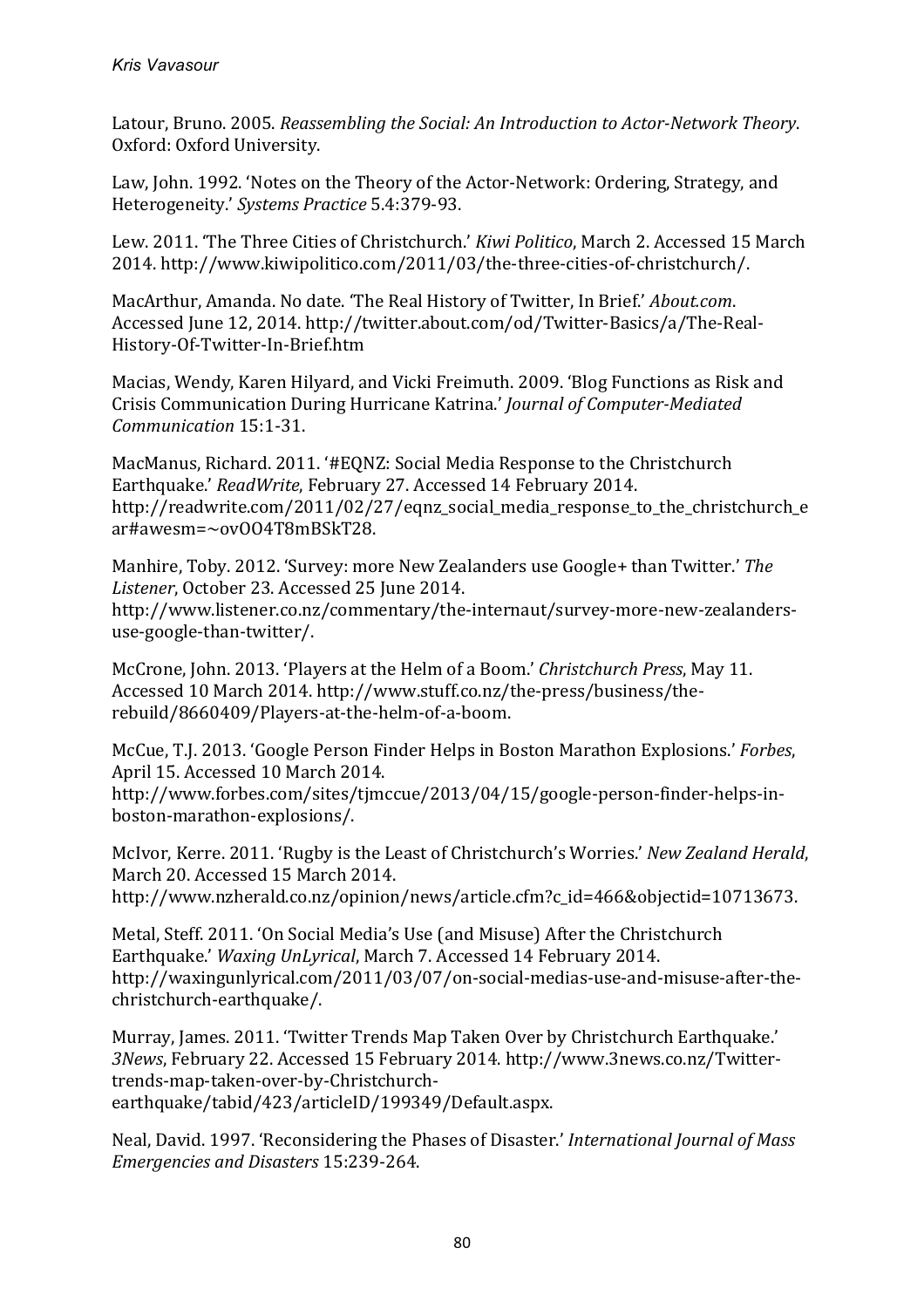Latour, Bruno. 2005. *Reassembling the Social: An Introduction to Actor-Network Theory.* Oxford: Oxford University.

Law, John. 1992. 'Notes on the Theory of the Actor-Network: Ordering, Strategy, and Heterogeneity.' *Systems Practice* 5.4:379-93.

Lew. 2011. 'The Three Cities of Christchurch.' *Kiwi Politico*, March 2. Accessed 15 March 2014. http://www.kiwipolitico.com/2011/03/the-three-cities-of-christchurch/.

MacArthur, Amanda. No date. 'The Real History of Twitter, In Brief.' *About.com*. Accessed June 12, 2014. http://twitter.about.com/od/Twitter-Basics/a/The-Real-History-Of-Twitter-In-Brief.htm

Macias, Wendy, Karen Hilyard, and Vicki Freimuth. 2009. 'Blog Functions as Risk and Crisis Communication During Hurricane Katrina.' *Journal of Computer-Mediated Communication* 15:1-31.

MacManus, Richard. 2011. '#EQNZ: Social Media Response to the Christchurch Earthquake.' *ReadWrite*, February 27. Accessed 14 February 2014. http://readwrite.com/2011/02/27/eqnz\_social\_media\_response\_to\_the\_christchurch\_e ar#awesm=~ovOO4T8mBSkT28.

Manhire, Toby. 2012. 'Survey: more New Zealanders use Google+ than Twitter.' The Listener, October 23. Accessed 25 June 2014. http://www.listener.co.nz/commentary/the-internaut/survey-more-new-zealandersuse-google-than-twitter/.

McCrone, John. 2013. 'Players at the Helm of a Boom.' *Christchurch Press*, May 11. Accessed 10 March 2014. http://www.stuff.co.nz/the-press/business/therebuild/8660409/Players-at-the-helm-of-a-boom.

McCue, T.J. 2013. 'Google Person Finder Helps in Boston Marathon Explosions.' *Forbes*, April 15. Accessed 10 March 2014. http://www.forbes.com/sites/tjmccue/2013/04/15/google-person-finder-helps-inboston-marathon-explosions/.

McIvor, Kerre. 2011. 'Rugby is the Least of Christchurch's Worries.' *New Zealand Herald*, March 20. Accessed 15 March 2014. http://www.nzherald.co.nz/opinion/news/article.cfm?c\_id=466&objectid=10713673.

Metal, Steff. 2011. 'On Social Media's Use (and Misuse) After the Christchurch Earthquake.' *Waxing UnLyrical*, March 7. Accessed 14 February 2014. http://waxingunlyrical.com/2011/03/07/on-social-medias-use-and-misuse-after-thechristchurch-earthquake/.

Murray, James. 2011. 'Twitter Trends Map Taken Over by Christchurch Earthquake.' 3News, February 22. Accessed 15 February 2014. http://www.3news.co.nz/Twittertrends-map-taken-over-by-Christchurchearthquake/tabid/423/articleID/199349/Default.aspx. 

Neal, David. 1997. 'Reconsidering the Phases of Disaster.' *International Journal of Mass Emergencies and Disasters* 15:239-264.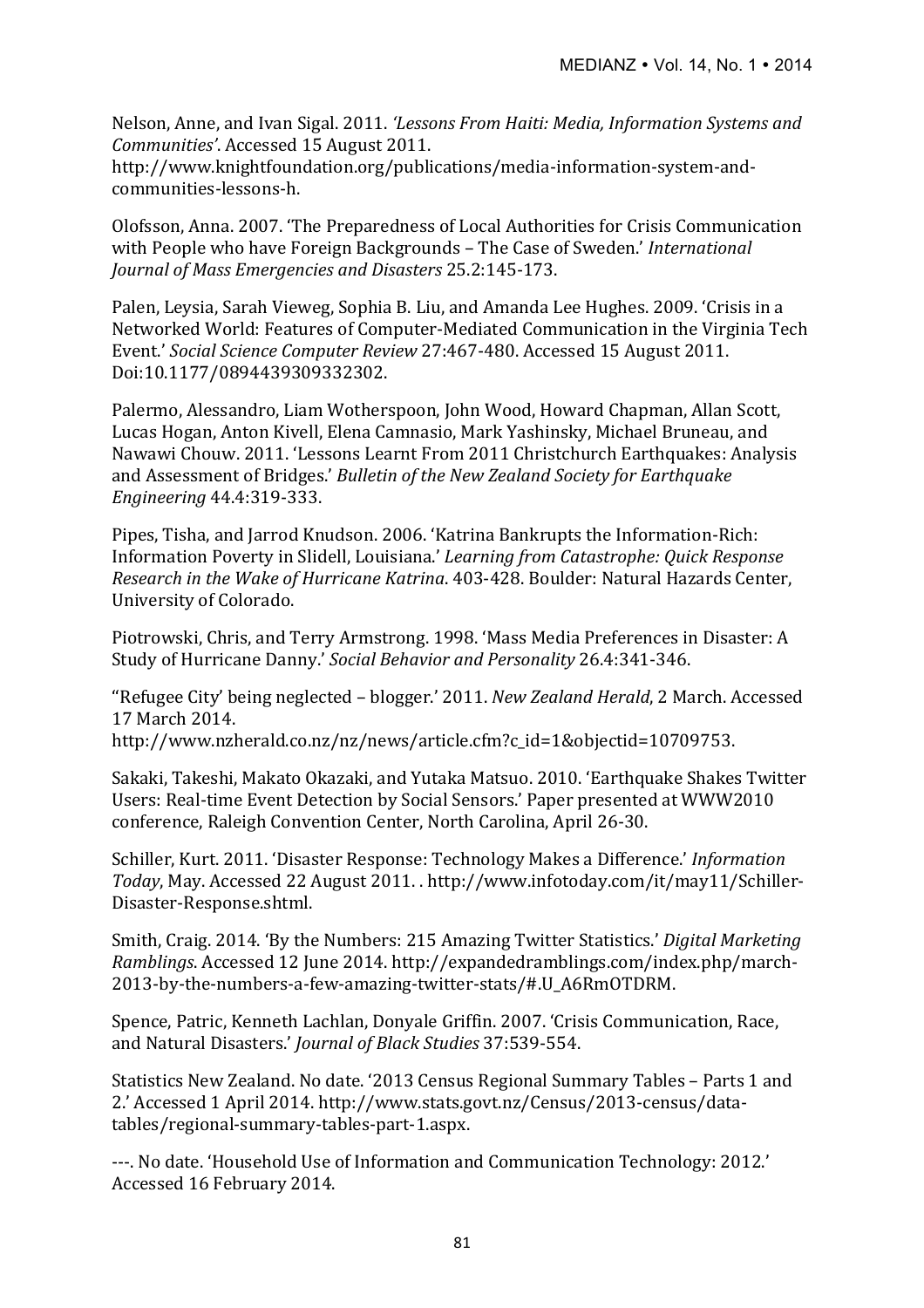Nelson, Anne, and Ivan Sigal. 2011. 'Lessons From Haiti: Media, Information Systems and *Communities'*. Accessed 15 August 2011. 

http://www.knightfoundation.org/publications/media-information-system-andcommunities-lessons-h.

Olofsson, Anna. 2007. 'The Preparedness of Local Authorities for Crisis Communication with People who have Foreign Backgrounds - The Case of Sweden.' *International Journal of Mass Emergencies and Disasters* 25.2:145-173.

Palen, Leysia, Sarah Vieweg, Sophia B. Liu, and Amanda Lee Hughes. 2009. 'Crisis in a Networked World: Features of Computer-Mediated Communication in the Virginia Tech Event.' *Social Science Computer Review 27:467-480. Accessed 15 August 2011.* Doi:10.1177/0894439309332302.

Palermo, Alessandro, Liam Wotherspoon, John Wood, Howard Chapman, Allan Scott, Lucas Hogan, Anton Kivell, Elena Camnasio, Mark Yashinsky, Michael Bruneau, and Nawawi Chouw. 2011. 'Lessons Learnt From 2011 Christchurch Earthquakes: Analysis and Assessment of Bridges.' *Bulletin of the New Zealand Society for Earthquake Engineering* 44.4:319-333. 

Pipes, Tisha, and Jarrod Knudson. 2006. 'Katrina Bankrupts the Information-Rich: Information Poverty in Slidell, Louisiana.' *Learning from Catastrophe: Ouick Response Research in the Wake of Hurricane Katrina.* 403-428. Boulder: Natural Hazards Center, University of Colorado.

Piotrowski, Chris, and Terry Armstrong. 1998. 'Mass Media Preferences in Disaster: A Study of Hurricane Danny.' *Social Behavior and Personality* 26.4:341-346.

"Refugee City' being neglected - blogger.' 2011. *New Zealand Herald*, 2 March. Accessed 17 March 2014. 

http://www.nzherald.co.nz/nz/news/article.cfm?c\_id=1&objectid=10709753.

Sakaki, Takeshi, Makato Okazaki, and Yutaka Matsuo. 2010. 'Earthquake Shakes Twitter Users: Real-time Event Detection by Social Sensors.' Paper presented at WWW2010 conference, Raleigh Convention Center, North Carolina, April 26-30.

Schiller, Kurt. 2011. 'Disaster Response: Technology Makes a Difference.' *Information Today*, May. Accessed 22 August 2011. . http://www.infotoday.com/it/may11/Schiller-Disaster-Response.shtml.

Smith, Craig. 2014. 'By the Numbers: 215 Amazing Twitter Statistics.' *Digital Marketing Ramblings*. Accessed 12 June 2014. http://expandedramblings.com/index.php/march-2013-by-the-numbers-a-few-amazing-twitter-stats/#.U\_A6RmOTDRM. 

Spence, Patric, Kenneth Lachlan, Donyale Griffin. 2007. 'Crisis Communication, Race, and Natural Disasters.' *Journal of Black Studies* 37:539-554.

Statistics New Zealand. No date. '2013 Census Regional Summary Tables – Parts 1 and 2.' Accessed 1 April 2014. http://www.stats.govt.nz/Census/2013-census/datatables/regional-summary-tables-part-1.aspx.

---. No date. 'Household Use of Information and Communication Technology: 2012.' Accessed 16 February 2014.